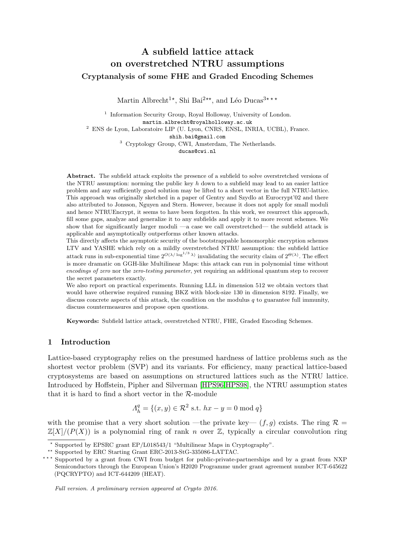# A subfield lattice attack on overstretched NTRU assumptions Cryptanalysis of some FHE and Graded Encoding Schemes

Martin Albrecht<sup>1\*</sup>, Shi Bai<sup>2\*\*</sup>, and Léo Ducas<sup>3\*\*\*</sup>

<sup>1</sup> Information Security Group, Royal Holloway, University of London. martin.albrecht@royalholloway.ac.uk <sup>2</sup> ENS de Lyon, Laboratoire LIP (U. Lyon, CNRS, ENSL, INRIA, UCBL), France. shih.bai@gmail.com <sup>3</sup> Cryptology Group, CWI, Amsterdam, The Netherlands. ducas@cwi.nl

Abstract. The subfield attack exploits the presence of a subfield to solve overstretched versions of the NTRU assumption: norming the public key  $h$  down to a subfield may lead to an easier lattice problem and any sufficiently good solution may be lifted to a short vector in the full NTRU-lattice. This approach was originally sketched in a paper of Gentry and Szydlo at Eurocrypt'02 and there also attributed to Jonsson, Nguyen and Stern. However, because it does not apply for small moduli and hence NTRUEncrypt, it seems to have been forgotten. In this work, we resurrect this approach, fill some gaps, analyze and generalize it to any subfields and apply it to more recent schemes. We show that for significantly larger moduli —a case we call overstretched— the subfield attack is applicable and asymptotically outperforms other known attacks.

This directly affects the asymptotic security of the bootstrappable homomorphic encryption schemes LTV and YASHE which rely on a mildly overstretched NTRU assumption: the subfield lattice attack runs in sub-exponential time  $2^{O(\lambda/\log^{1/3} \lambda)}$  invalidating the security claim of  $2^{\Theta(\lambda)}$ . The effect is more dramatic on GGH-like Multilinear Maps: this attack can run in polynomial time without encodings of zero nor the zero-testing parameter, yet requiring an additional quantum step to recover the secret parameters exactly.

We also report on practical experiments. Running LLL in dimension 512 we obtain vectors that would have otherwise required running BKZ with block-size 130 in dimension 8192. Finally, we discuss concrete aspects of this attack, the condition on the modulus  $q$  to guarantee full immunity, discuss countermeasures and propose open questions.

Keywords: Subfield lattice attack, overstretched NTRU, FHE, Graded Encoding Schemes.

## 1 Introduction

Lattice-based cryptography relies on the presumed hardness of lattice problems such as the shortest vector problem (SVP) and its variants. For efficiency, many practical lattice-based cryptosystems are based on assumptions on structured lattices such as the NTRU lattice. Introduced by Hoffstein, Pipher and Silverman [\[HPS96](#page-23-0)[,HPS98\]](#page-23-1), the NTRU assumption states that it is hard to find a short vector in the  $\mathcal{R}\text{-module}$ 

$$
\Lambda_h^q = \{(x, y) \in \mathcal{R}^2 \text{ s.t. } hx - y = 0 \text{ mod } q\}
$$

with the promise that a very short solution —the private key—  $(f, g)$  exists. The ring  $\mathcal{R} =$  $\mathbb{Z}[X]/(P(X))$  is a polynomial ring of rank n over  $\mathbb{Z}$ , typically a circular convolution ring

Full version. A preliminary version appeared at Crypto 2016.

<sup>?</sup> Supported by EPSRC grant EP/L018543/1 "Multilinear Maps in Cryptography".

<sup>\*\*</sup> Supported by ERC Starting Grant ERC-2013-StG-335086-LATTAC.

<sup>\*\*\*</sup> Supported by a grant from CWI from budget for public-private-partnerships and by a grant from NXP Semiconductors through the European Union's H2020 Programme under grant agreement number ICT-645622 (PQCRYPTO) and ICT-644209 (HEAT).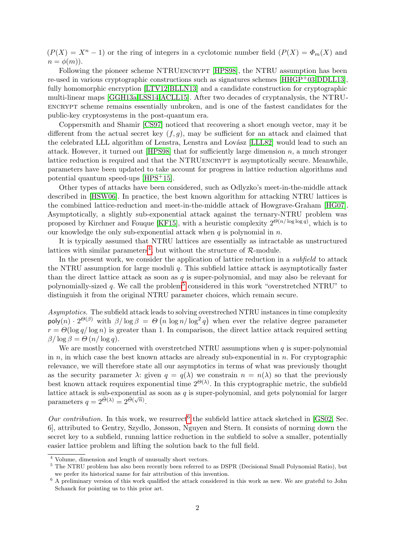$(P(X) = X<sup>n</sup> - 1)$  or the ring of integers in a cyclotomic number field  $(P(X) = \Phi_m(X))$  and  $n = \phi(m)$ ).

Following the pioneer scheme NTRUENCRYPT [\[HPS98\]](#page-23-1), the NTRU assumption has been re-used in various cryptographic constructions such as signatures schemes [\[HHGP](#page-23-2)+03[,DDLL13\]](#page-22-0), fully homomorphic encryption [\[LTV12,](#page-23-3)[BLLN13\]](#page-21-0) and a candidate construction for cryptographic multi-linear maps [\[GGH13a](#page-22-1)[,LSS14](#page-23-4)[,ACLL15\]](#page-21-1). After two decades of cryptanalysis, the NTRUencrypt scheme remains essentially unbroken, and is one of the fastest candidates for the public-key cryptosystems in the post-quantum era.

Coppersmith and Shamir [\[CS97\]](#page-22-2) noticed that recovering a short enough vector, may it be different from the actual secret key  $(f, g)$ , may be sufficient for an attack and claimed that the celebrated LLL algorithm of Lenstra, Lenstra and Lovász [\[LLL82\]](#page-23-5) would lead to such an attack. However, it turned out [\[HPS98\]](#page-23-1) that for sufficiently large dimension  $n$ , a much stronger lattice reduction is required and that the NTRUENCRYPT is asymptotically secure. Meanwhile, parameters have been updated to take account for progress in lattice reduction algorithms and potential quantum speed-ups [\[HPS](#page-23-6)+15].

Other types of attacks have been considered, such as Odlyzko's meet-in-the-middle attack described in [\[HSW06\]](#page-23-7). In practice, the best known algorithm for attacking NTRU lattices is the combined lattice-reduction and meet-in-the-middle attack of Howgrave-Graham [\[HG07\]](#page-23-8). Asymptotically, a slightly sub-exponential attack against the ternary-NTRU problem was proposed by Kirchner and Fouque [\[KF15\]](#page-23-9), with a heuristic complexity  $2^{\Theta(n/\log \log q)}$ , which is to our knowledge the only sub-exponential attack when  $q$  is polynomial in  $n$ .

It is typically assumed that NTRU lattices are essentially as intractable as unstructured lattices with similar parameters<sup>[4](#page-1-0)</sup>, but without the structure of  $\mathcal{R}\text{-module.}$ 

In the present work, we consider the application of lattice reduction in a *subfield* to attack the NTRU assumption for large moduli q. This subfield lattice attack is asymptotically faster than the direct lattice attack as soon as  $q$  is super-polynomial, and may also be relevant for polynomially-sized  $q$ . We call the problem<sup>[5](#page-1-1)</sup> considered in this work "overstretched NTRU" to distinguish it from the original NTRU parameter choices, which remain secure.

Asymptotics. The subfield attack leads to solving overstreched NTRU instances in time complexity poly $(n) \cdot 2^{\Theta(\beta)}$  with  $\beta/\log \beta = \Theta(n \log n / \log^2 q)$  when ever the relative degree parameter  $r = \Theta(\log q / \log n)$  is greater than 1. In comparison, the direct lattice attack required setting  $\beta/\log\beta = \Theta(n/\log q)$ .

We are mostly concerned with overstretched NTRU assumptions when  $q$  is super-polynomial in  $n$ , in which case the best known attacks are already sub-exponential in  $n$ . For cryptographic relevance, we will therefore state all our asymptotics in terms of what was previously thought as the security parameter  $\lambda$ : given  $q = q(\lambda)$  we constrain  $n = n(\lambda)$  so that the previously best known attack requires exponential time  $2^{\Theta(\lambda)}$ . In this cryptographic metric, the subfield lattice attack is sub-exponential as soon as q is super-polynomial, and gets polynomial for larger parameters  $q = 2^{\tilde{\Theta}(\lambda)} = 2^{\tilde{\Theta}(\sqrt{n})}$ .

Our contribution. In this work, we resurrect<sup>[6](#page-1-2)</sup> the subfield lattice attack sketched in [\[GS02,](#page-23-10) Sec. 6], attributed to Gentry, Szydlo, Jonsson, Nguyen and Stern. It consists of norming down the secret key to a subfield, running lattice reduction in the subfield to solve a smaller, potentially easier lattice problem and lifting the solution back to the full field.

<span id="page-1-0"></span><sup>4</sup> Volume, dimension and length of unusually short vectors.

<span id="page-1-1"></span><sup>&</sup>lt;sup>5</sup> The NTRU problem has also been recently been referred to as DSPR (Decisional Small Polynomial Ratio), but we prefer its historical name for fair attribution of this invention.

<span id="page-1-2"></span><sup>6</sup> A preliminary version of this work qualified the attack considered in this work as new. We are grateful to John Schanck for pointing us to this prior art.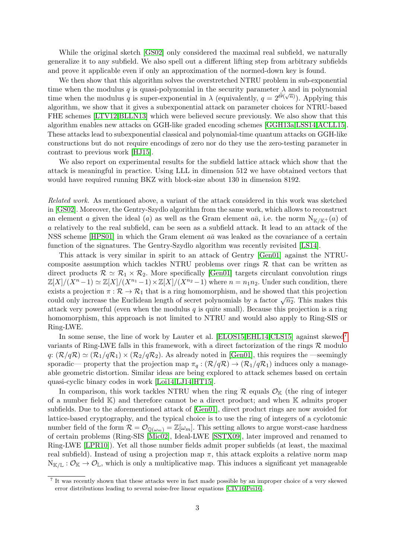While the original sketch [\[GS02\]](#page-23-10) only considered the maximal real subfield, we naturally generalize it to any subfield. We also spell out a different lifting step from arbitrary subfields and prove it applicable even if only an approximation of the normed-down key is found.

We then show that this algorithm solves the overstretched NTRU problem in sub-exponential time when the modulus q is quasi-polynomial in the security parameter  $\lambda$  and in polynomial time when the modulus q is super-exponential in  $\lambda$  (equivalently,  $q = 2^{\tilde{\Theta}(\sqrt{n})}$ ). Applying this algorithm, we show that it gives a subexponential attack on parameter choices for NTRU-based FHE schemes [\[LTV12](#page-23-3)[,BLLN13\]](#page-21-0) which were believed secure previously. We also show that this algorithm enables new attacks on GGH-like graded encoding schemes [\[GGH13a](#page-22-1)[,LSS14](#page-23-4)[,ACLL15\]](#page-21-1). These attacks lead to subexponential classical and polynomial-time quantum attacks on GGH-like constructions but do not require encodings of zero nor do they use the zero-testing parameter in contrast to previous work [\[HJ15\]](#page-23-11).

We also report on experimental results for the subfield lattice attack which show that the attack is meaningful in practice. Using LLL in dimension 512 we have obtained vectors that would have required running BKZ with block-size about 130 in dimension 8192.

Related work. As mentioned above, a variant of the attack considered in this work was sketched in [\[GS02\]](#page-23-10). Moreover, the Gentry-Szydlo algorithm from the same work, which allows to reconstruct an element a given the ideal (a) as well as the Gram element  $a\bar{a}$ , i.e. the norm  $N_{K/K^+}(a)$  of a relatively to the real subfield, can be seen as a subfield attack. It lead to an attack of the NSS scheme [\[HPS01\]](#page-23-12) in which the Gram element  $a\bar{a}$  was leaked as the covariance of a certain function of the signatures. The Gentry-Szydlo algorithm was recently revisited [\[LS14\]](#page-23-13).

This attack is very similar in spirit to an attack of Gentry [\[Gen01\]](#page-22-3) against the NTRUcomposite assumption which tackles NTRU problems over rings  $R$  that can be written as direct products  $\mathcal{R} \simeq \mathcal{R}_1 \times \mathcal{R}_2$ . More specifically [\[Gen01\]](#page-22-3) targets circulant convolution rings  $\mathbb{Z}[X]/(X^n-1) \simeq \mathbb{Z}[X]/(X^{n_1}-1) \times \mathbb{Z}[X]/(X^{n_2}-1)$  where  $n = n_1 n_2$ . Under such condition, there exists a projection  $\pi : \mathcal{R} \to \mathcal{R}_1$  that is a ring homomorphism, and he showed that this projection could only increase the Euclidean length of secret polynomials by a factor  $\sqrt{n_2}$ . This makes this attack very powerful (even when the modulus  $q$  is quite small). Because this projection is a ring homomorphism, this approach is not limited to NTRU and would also apply to Ring-SIS or Ring-LWE.

In some sense, the line of work by Lauter et al. [\[ELOS15](#page-22-4)[,EHL14,](#page-22-5)[CLS15\]](#page-22-6) against skewed[7](#page-2-0) variants of Ring-LWE falls in this framework, with a direct factorization of the rings  $\mathcal{R}$  modulo  $q: (\mathcal{R}/q\mathcal{R}) \simeq (\mathcal{R}_1/q\mathcal{R}_1) \times (\mathcal{R}_2/q\mathcal{R}_2)$ . As already noted in [\[Gen01\]](#page-22-3), this requires the —seemingly sporadic— property that the projection map  $\pi_q : (\mathcal{R}/q\mathcal{R}) \to (\mathcal{R}_1/q\mathcal{R}_1)$  induces only a manageable geometric distortion. Similar ideas are being explored to attack schemes based on certain quasi-cyclic binary codes in work [\[Loi14,](#page-23-14)[LJ14,](#page-23-15)[HT15\]](#page-23-16).

In comparison, this work tackles NTRU when the ring  $\mathcal{R}$  equals  $\mathcal{O}_{K}$  (the ring of integer of a number field  $K$ ) and therefore cannot be a direct product; and when  $K$  admits proper subfields. Due to the aforementioned attack of [\[Gen01\]](#page-22-3), direct product rings are now avoided for lattice-based cryptography, and the typical choice is to use the ring of integers of a cyclotomic number field of the form  $\mathcal{R} = \mathcal{O}_{\mathbb{Q}(\omega_m)} = \mathbb{Z}[\omega_m]$ . This setting allows to argue worst-case hardness of certain problems (Ring-SIS [\[Mic02\]](#page-23-17), Ideal-LWE [\[SSTX09\]](#page-24-0), later improved and renamed to Ring-LWE [\[LPR10\]](#page-23-18)). Yet all those number fields admit proper subfields (at least, the maximal real subfield). Instead of using a projection map  $\pi$ , this attack exploits a relative norm map  $N_{K/L}: \mathcal{O}_K \to \mathcal{O}_L$ , which is only a multiplicative map. This induces a significant yet manageable

<span id="page-2-0"></span><sup>7</sup> It was recently shown that these attacks were in fact made possible by an improper choice of a very skewed error distributions leading to several noise-free linear equations [\[CIV16,](#page-22-7)[Pei16\]](#page-24-1).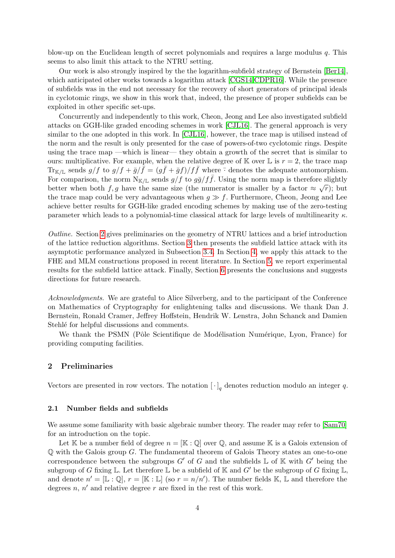blow-up on the Euclidean length of secret polynomials and requires a large modulus  $q$ . This seems to also limit this attack to the NTRU setting.

Our work is also strongly inspired by the the logarithm-subfield strategy of Bernstein [\[Ber14\]](#page-21-2), which anticipated other works towards a logarithm attack [\[CGS14](#page-22-8)[,CDPR16\]](#page-22-9). While the presence of subfields was in the end not necessary for the recovery of short generators of principal ideals in cyclotomic rings, we show in this work that, indeed, the presence of proper subfields can be exploited in other specific set-ups.

Concurrently and independently to this work, Cheon, Jeong and Lee also investigated subfield attacks on GGH-like graded encoding schemes in work [\[CJL16\]](#page-22-10). The general approach is very similar to the one adopted in this work. In [\[CJL16\]](#page-22-10), however, the trace map is utilised instead of the norm and the result is only presented for the case of powers-of-two cyclotomic rings. Despite using the trace map —which is linear— they obtain a growth of the secret that is similar to ours: multiplicative. For example, when the relative degree of  $\mathbb K$  over  $\mathbb L$  is  $r = 2$ , the trace map  $\text{Tr}_{\mathbb{K}/\mathbb{L}}$  sends  $g/f$  to  $g/f + \bar{g}/\bar{f} = (g\bar{f} + \bar{g}f)/f\bar{f}$  where  $\bar{\cdot}$  denotes the adequate automorphism. For comparison, the norm  $N_{K/L}$  sends  $g/f$  to  $g\bar{g}/f\bar{f}$ . Using the norm map is therefore slightly better when both f, g have the same size (the numerator is smaller by a factor  $\approx \sqrt{r}$ ); but the trace map could be very advantageous when  $g \gg f$ . Furthermore, Cheon, Jeong and Lee achieve better results for GGH-like graded encoding schemes by making use of the zero-testing parameter which leads to a polynomial-time classical attack for large levels of multilinearity  $\kappa$ .

Outline. Section [2](#page-3-0) gives preliminaries on the geometry of NTRU lattices and a brief introduction of the lattice reduction algorithms. Section [3](#page-8-0) then presents the subfield lattice attack with its asymptotic performance analyzed in Subsection [3.4.](#page-11-0) In Section [4,](#page-12-0) we apply this attack to the FHE and MLM constructions proposed in recent literature. In Section [5,](#page-16-0) we report experimental results for the subfield lattice attack. Finally, Section [6](#page-18-0) presents the conclusions and suggests directions for future research.

Acknowledgments. We are grateful to Alice Silverberg, and to the participant of the Conference on Mathematics of Cryptography for enlightening talks and discussions. We thank Dan J. Bernstein, Ronald Cramer, Jeffrey Hoffstein, Hendrik W. Lenstra, John Schanck and Damien Stehlé for helpful discussions and comments.

We thank the PSMN (Pôle Scientifique de Modélisation Numérique, Lyon, France) for providing computing facilities.

## <span id="page-3-0"></span>2 Preliminaries

Vectors are presented in row vectors. The notation  $[\cdot]_q$  denotes reduction modulo an integer q.

## 2.1 Number fields and subfields

We assume some familiarity with basic algebraic number theory. The reader may refer to  $[\text{Sam70}]$ for an introduction on the topic.

Let K be a number field of degree  $n = [\mathbb{K} : \mathbb{Q}]$  over  $\mathbb{Q}$ , and assume K is a Galois extension of  $\mathbb Q$  with the Galois group G. The fundamental theorem of Galois Theory states an one-to-one correspondence between the subgroups  $G'$  of G and the subfields  $\mathbb L$  of K with  $G'$  being the subgroup of G fixing  $\mathbb L$ . Let therefore  $\mathbb L$  be a subfield of K and G' be the subgroup of G fixing  $\mathbb L$ , and denote  $n' = [\mathbb{L} : \mathbb{Q}], r = [\mathbb{K} : \mathbb{L}]$  (so  $r = n/n'$ ). The number fields  $\mathbb{K}, \mathbb{L}$  and therefore the degrees  $n, n'$  and relative degree  $r$  are fixed in the rest of this work.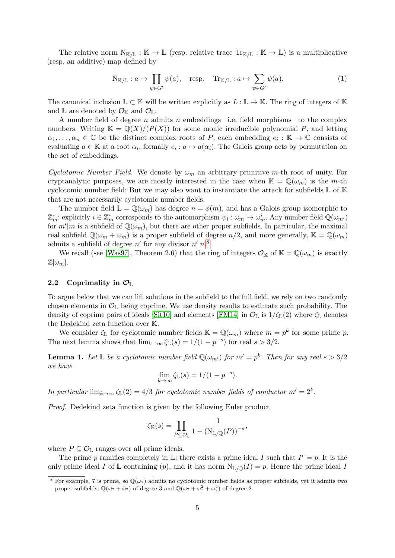The relative norm  $N_{K/L} : K \to L$  (resp. relative trace  $Tr_{K/L} : K \to L$ ) is a multiplicative (resp. an additive) map defined by

$$
N_{K/L}: a \mapsto \prod_{\psi \in G'} \psi(a), \quad \text{resp.} \quad \text{Tr}_{K/L}: a \mapsto \sum_{\psi \in G'} \psi(a). \tag{1}
$$

The canonical inclusion  $\mathbb{L} \subset \mathbb{K}$  will be written explicitly as  $L : \mathbb{L} \to \mathbb{K}$ . The ring of integers of K and  $\mathbb L$  are denoted by  $\mathcal O_{\mathbb K}$  and  $\mathcal O_{\mathbb L}$ .

A number field of degree n admits n embeddings –i.e. field morphisms– to the complex numbers. Writing  $\mathbb{K} = \mathbb{Q}(X)/(P(X))$  for some monic irreducible polynomial P, and letting  $\alpha_1,\ldots,\alpha_n\in\mathbb{C}$  be the distinct complex roots of P, each embedding  $e_i:\mathbb{K}\to\mathbb{C}$  consists of evaluating  $a \in \mathbb{K}$  at a root  $\alpha_i$ , formally  $e_i : a \mapsto a(\alpha_i)$ . The Galois group acts by permutation on the set of embeddings.

Cyclotomic Number Field. We denote by  $\omega_m$  an arbitrary primitive m-th root of unity. For cryptanalytic purposes, we are mostly interested in the case when  $\mathbb{K} = \mathbb{Q}(\omega_m)$  is the m-th cyclotomic number field; But we may also want to instantiate the attack for subfields  $\mathbb L$  of  $\mathbb K$ that are not necessarily cyclotomic number fields.

The number field  $\mathbb{L} = \mathbb{Q}(\omega_m)$  has degree  $n = \phi(m)$ , and has a Galois group isomorphic to  $\mathbb{Z}_m^*$ : explicitly  $i \in \mathbb{Z}_m^*$  corresponds to the automorphism  $\psi_i : \omega_m \mapsto \omega_m^i$ . Any number field  $\mathbb{Q}(\omega_{m'})$ for  $m'|m$  is a subfield of  $\mathbb{Q}(\omega_m)$ , but there are other proper subfields. In particular, the maximal real subfield  $\mathbb{Q}(\omega_m + \bar{\omega}_m)$  is a proper subfield of degree  $n/2$ , and more generally,  $\mathbb{K} = \mathbb{Q}(\omega_m)$ admits a subfield of degree  $n'$  for any divisor  $n'|n<sup>8</sup>$  $n'|n<sup>8</sup>$  $n'|n<sup>8</sup>$ 

We recall (see [\[Was97\]](#page-24-3), Theorem 2.6) that the ring of integers  $\mathcal{O}_{\mathbb{K}}$  of  $\mathbb{K} = \mathbb{Q}(\omega_m)$  is exactly  $\mathbb{Z}[\omega_m].$ 

# <span id="page-4-1"></span>2.2 Coprimality in  $\mathcal{O}_\mathbb{L}$

To argue below that we can lift solutions in the subfield to the full field, we rely on two randomly chosen elements in  $\mathcal{O}_\mathbb{L}$  being coprime. We use density results to estimate such probability. The density of coprime pairs of ideals [\[Sit10\]](#page-24-4) and elements [\[FM14\]](#page-22-11) in  $\mathcal{O}_\mathbb{L}$  is  $1/\zeta(\mathbb{L})$  where  $\zeta(\mathbb{L})$  denotes the Dedekind zeta function over K.

We consider  $\zeta_{\mathbb{L}}$  for cyclotomic number fields  $\mathbb{K} = \mathbb{Q}(\omega_m)$  where  $m = p^k$  for some prime p. The next lemma shows that  $\lim_{k\to\infty} \zeta_{\mathbb{L}}(s) = 1/(1-p^{-s})$  for real  $s > 3/2$ .

**Lemma 1.** Let  $\mathbb{L}$  be a cyclotomic number field  $\mathbb{Q}(\omega_{m'})$  for  $m' = p^k$ . Then for any real  $s > 3/2$ we have

$$
\lim_{k \to \infty} \zeta_{\mathbb{L}}(s) = 1/(1 - p^{-s}).
$$

In particular  $\lim_{k\to\infty} \zeta_{\mathbb{L}}(2) = 4/3$  for cyclotomic number fields of conductor  $m' = 2^k$ .

Proof. Dedekind zeta function is given by the following Euler product

$$
\zeta_{\mathbb{K}}(s) = \prod_{P \subseteq \mathcal{O}_{\mathbb{L}}} \frac{1}{1 - (N_{\mathbb{L}/\mathbb{Q}}(P))^{-s}},
$$

where  $P \subseteq \mathcal{O}_{\mathbb{L}}$  ranges over all prime ideals.

The prime p ramifies completely in L: there exists a prime ideal I such that  $I^e = p$ . It is the only prime ideal I of L containing (p), and it has norm  $N_{L/\mathbb{Q}}(I) = p$ . Hence the prime ideal I

<span id="page-4-0"></span><sup>&</sup>lt;sup>8</sup> For example, 7 is prime, so  $\mathbb{Q}(\omega_7)$  admits no cyclotomic number fields as proper subfields, yet it admits two proper subfields:  $\mathbb{Q}(\omega_7 + \bar{\omega}_7)$  of degree 3 and  $\mathbb{Q}(\omega_7 + \omega_7^2 + \omega_7^4)$  of degree 2.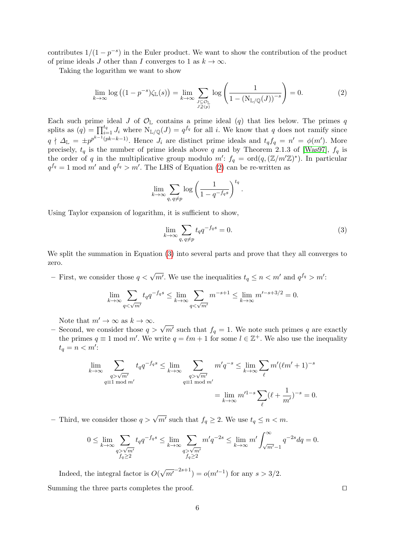contributes  $1/(1-p^{-s})$  in the Euler product. We want to show the contribution of the product of prime ideals J other than I converges to 1 as  $k \to \infty$ .

Taking the logarithm we want to show

<span id="page-5-0"></span>
$$
\lim_{k \to \infty} \log\left( (1 - p^{-s}) \zeta_{\mathbb{L}}(s) \right) = \lim_{k \to \infty} \sum_{\substack{J \subseteq \mathcal{O}_{\mathbb{L}} \\ J \supseteq \{p\}}} \log\left( \frac{1}{1 - \left( N_{\mathbb{L}/\mathbb{Q}}(J) \right)^{-s}} \right) = 0. \tag{2}
$$

Each such prime ideal J of  $\mathcal{O}_{\mathbb{L}}$  contains a prime ideal (q) that lies below. The primes q splits as  $(q) = \prod_{i=1}^{t_q} J_i$  where  $N_{\mathbb{L}/\mathbb{Q}}(J) = q^{f_q}$  for all i. We know that q does not ramify since  $q \nmid \Delta_{\mathbb{L}} = \pm p^{p^{k-1}(pk-k-1)}$ . Hence  $J_i$  are distinct prime ideals and  $t_q f_q = n' = \phi(m')$ . More precisely,  $t_q$  is the number of prime ideals above q and by Theorem 2.1.3 of [\[Was97\]](#page-24-3),  $f_q$  is the order of q in the multiplicative group modulo  $m'$ :  $f_q = \text{ord}(q, (\mathbb{Z}/m'\mathbb{Z})^*)$ . In particular  $q^{f_q} = 1 \text{ mod } m'$  and  $q^{f_q} > m'$ . The LHS of Equation [\(2\)](#page-5-0) can be re-written as

$$
\lim_{k \to \infty} \sum_{q, q \neq p} \log \left( \frac{1}{1 - q^{-f_q s}} \right)^{t_q}
$$

Using Taylor expansion of logarithm, it is sufficient to show,

<span id="page-5-1"></span>
$$
\lim_{k \to \infty} \sum_{q, q \neq p} t_q q^{-f_q s} = 0.
$$
\n(3)

.

We split the summation in Equation [\(3\)](#page-5-1) into several parts and prove that they all converges to zero.

– First, we consider those  $q < \sqrt{m'}$ . We use the inequalities  $t_q \le n < m'$  and  $q^{f_q} > m'$ :

$$
\lim_{k \to \infty} \sum_{q < \sqrt{m'}} t_q q^{-f_q s} \le \lim_{k \to \infty} \sum_{q < \sqrt{m'}} m^{-s+1} \le \lim_{k \to \infty} m'^{-s+3/2} = 0.
$$

Note that  $m' \to \infty$  as  $k \to \infty$ .

Note that  $m \to \infty$  as  $\kappa \to \infty$ .<br>
− Second, we consider those  $q > \sqrt{m'}$  such that  $f_q = 1$ . We note such primes q are exactly the primes  $q \equiv 1 \mod m'$ . We write  $q = \ell m + 1$  for some  $l \in \mathbb{Z}^+$ . We also use the inequality  $t_q = n < m'$ :

$$
\lim_{k \to \infty} \sum_{\substack{q > \sqrt{m'} \\ q \equiv 1 \bmod m'}} t_q q^{-f_q s} \le \lim_{k \to \infty} \sum_{\substack{q > \sqrt{m'} \\ q \equiv 1 \bmod m'}} m' q^{-s} \le \lim_{k \to \infty} \sum_{\ell} m' (\ell m' + 1)^{-s}
$$

$$
= \lim_{k \to \infty} m'^{1-s} \sum_{\ell} (\ell + \frac{1}{m'})^{-s} = 0.
$$

– Third, we consider those  $q > \sqrt{m'}$  such that  $f_q \geq 2$ . We use  $t_q \leq n < m$ .

$$
0 \le \lim_{k \to \infty} \sum_{\substack{q > \sqrt{m'}}{q \ge 2}} t_q q^{-f_q s} \le \lim_{k \to \infty} \sum_{\substack{q > \sqrt{m'}}{q \ge 2}} m' q^{-2s} \le \lim_{k \to \infty} m' \int_{\sqrt{m'}-1}^{\infty} q^{-2s} dq = 0.
$$

Indeed, the integral factor is  $O($ √  $\overline{m'}^{-2s+1}$ ) =  $o(m'^{-1})$  for any  $s > 3/2$ . Summing the three parts completes the proof.  $\Box$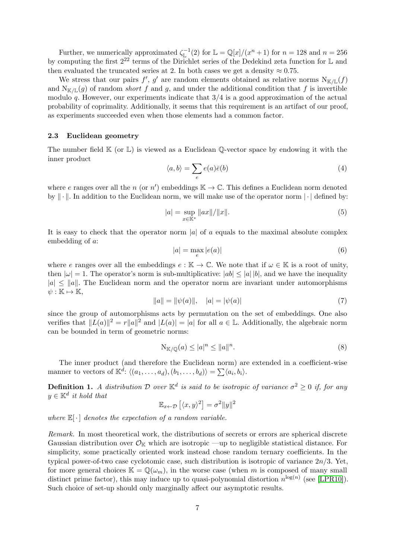Further, we numerically approximated  $\zeta_{\mathbb{L}}^{-1}(2)$  for  $\mathbb{L} = \mathbb{Q}[x]/(x^n + 1)$  for  $n = 128$  and  $n = 256$ by computing the first 2<sup>22</sup> terms of the Dirichlet series of the Dedekind zeta function for L and then evaluated the truncated series at 2. In both cases we get a density  $\approx 0.75$ .

We stress that our pairs  $f'$ ,  $g'$  are random elements obtained as relative norms  $N_{\mathbb{K}/\mathbb{L}}(f)$ and  $N_{K/\mathbb{L}}(g)$  of random *short* f and g, and under the additional condition that f is invertible modulo  $q$ . However, our experiments indicate that  $3/4$  is a good approximation of the actual probability of coprimality. Additionally, it seems that this requirement is an artifact of our proof, as experiments succeeded even when those elements had a common factor.

## 2.3 Euclidean geometry

The number field  $\mathbb{K}$  (or  $\mathbb{L}$ ) is viewed as a Euclidean  $\mathbb{Q}$ -vector space by endowing it with the inner product

$$
\langle a, b \rangle = \sum_{e} e(a)\bar{e}(b) \tag{4}
$$

where e ranges over all the n (or n') embeddings  $\mathbb{K} \to \mathbb{C}$ . This defines a Euclidean norm denoted by  $\|\cdot\|$ . In addition to the Euclidean norm, we will make use of the operator norm  $|\cdot|$  defined by:

$$
|a| = \sup_{x \in \mathbb{K}^*} ||ax|| / ||x||.
$$
 (5)

It is easy to check that the operator norm |a| of a equals to the maximal absolute complex embedding of a:

$$
|a| = \max_{e} |e(a)| \tag{6}
$$

where e ranges over all the embeddings  $e : \mathbb{K} \to \mathbb{C}$ . We note that if  $\omega \in \mathbb{K}$  is a root of unity, then  $|\omega|=1$ . The operator's norm is sub-multiplicative:  $|ab| \leq |a||b|$ , and we have the inequality  $|a| \le ||a||$ . The Euclidean norm and the operator norm are invariant under automorphisms  $\psi: \mathbb{K} \mapsto \mathbb{K},$ 

$$
||a|| = ||\psi(a)||, \quad |a| = |\psi(a)| \tag{7}
$$

since the group of automorphisms acts by permutation on the set of embeddings. One also verifies that  $||L(a)||^2 = r||a||^2$  and  $|L(a)| = |a|$  for all  $a \in \mathbb{L}$ . Additionally, the algebraic norm can be bounded in term of geometric norms:

$$
N_{K/\mathbb{Q}}(a) \le |a|^n \le ||a||^n. \tag{8}
$$

The inner product (and therefore the Euclidean norm) are extended in a coefficient-wise manner to vectors of  $\mathbb{K}^d$ :  $\langle (a_1, \ldots, a_d), (b_1, \ldots, b_d) \rangle = \sum \langle a_i, b_i \rangle$ .

**Definition 1.** A distribution D over  $\mathbb{K}^d$  is said to be isotropic of variance  $\sigma^2 \geq 0$  if, for any  $y \in \mathbb{K}^d$  it hold that

$$
\mathbb{E}_{x \leftarrow \mathcal{D}} [\langle x, y \rangle^2] = \sigma^2 ||y||^2
$$

where  $\mathbb{E}[\cdot]$  denotes the expectation of a random variable.

Remark. In most theoretical work, the distributions of secrets or errors are spherical discrete Gaussian distribution over  $\mathcal{O}_{\mathbb{K}}$  which are isotropic —up to negligible statistical distance. For simplicity, some practically oriented work instead chose random ternary coefficients. In the typical power-of-two case cyclotomic case, such distribution is isotropic of variance  $2n/3$ . Yet, for more general choices  $\mathbb{K} = \mathbb{Q}(\omega_m)$ , in the worse case (when m is composed of many small distinct prime factor), this may induce up to quasi-polynomial distortion  $n^{\log(n)}$  (see [\[LPR10\]](#page-23-18)). Such choice of set-up should only marginally affect our asymptotic results.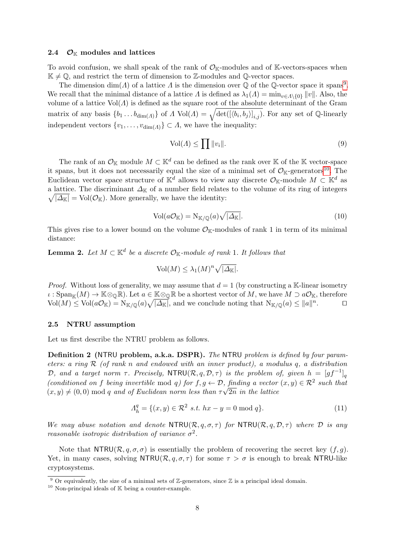#### 2.4  $\mathcal{O}_{\mathbb{K}}$  modules and lattices

To avoid confusion, we shall speak of the rank of  $\mathcal{O}_{K}$ -modules and of K-vectors-spaces when  $\mathbb{K} \neq \mathbb{Q}$ , and restrict the term of dimension to Z-modules and Q-vector spaces.

The dimension  $\dim(A)$  of a lattice A is the dimension over Q of the Q-vector space it spans<sup>[9](#page-7-0)</sup>. We recall that the minimal distance of a lattice  $\Lambda$  is defined as  $\lambda_1(\Lambda) = \min_{v \in \Lambda \setminus \{0\}} ||v||$ . Also, the volume of a lattice  $Vol(\Lambda)$  is defined as the square root of the absolute determinant of the Gram matrix of any basis  $\{b_1 \ldots b_{\dim(A)}\}$  of  $\Lambda \text{ Vol}(A) = \sqrt{\det((b_i, b_j)|_{i,j})}$ . For any set of Q-linearly independent vectors  $\{v_1, \ldots, v_{\dim(\Lambda)}\} \subset \Lambda$ , we have the inequality:

$$
Vol(\Lambda) \le \prod \|v_i\|.\tag{9}
$$

The rank of an  $\mathcal{O}_{\mathbb{K}}$  module  $M \subset \mathbb{K}^d$  can be defined as the rank over K of the K vector-space it spans, but it does not necessarily equal the size of a minimal set of  $\mathcal{O}_{K}$ -generators<sup>[10](#page-7-1)</sup>. The Euclidean vector space structure of  $\mathbb{K}^d$  allows to view any discrete  $\mathcal{O}_{\mathbb{K}}$ -module  $M \subset \mathbb{K}^d$  as a lattice. The discriminant  $\Delta_{\mathbb{K}}$  of a number field relates to the volume of its ring of integers  $\sqrt{|\Delta_{\mathbb{K}}|} = \text{Vol}(\mathcal{O}_{\mathbb{K}})$ . More generally, we have the identity:

$$
Vol(a\mathcal{O}_{\mathbb{K}}) = N_{\mathbb{K}/\mathbb{Q}}(a)\sqrt{|\Delta_{\mathbb{K}}|}. \tag{10}
$$

<span id="page-7-2"></span>This gives rise to a lower bound on the volume  $\mathcal{O}_{K}$ -modules of rank 1 in term of its minimal distance:

**Lemma 2.** Let  $M \subset \mathbb{K}^d$  be a discrete  $\mathcal{O}_{\mathbb{K}}$ -module of rank 1. It follows that

$$
\text{Vol}(M) \leq \lambda_1(M)^n \sqrt{|\Delta_{\mathbb{K}}|}.
$$

*Proof.* Without loss of generality, we may assume that  $d = 1$  (by constructing a K-linear isometry  $\iota : \mathrm{Span}_{\mathbb{K}}(M) \to \mathbb{K} \otimes_{\mathbb{Q}} \mathbb{R}$ . Let  $a \in \mathbb{K} \otimes_{\mathbb{Q}} \mathbb{R}$  be a shortest vector of M, we have  $M \supset a\mathcal{O}_{\mathbb{K}}$ , therefore  $\text{Vol}(M) \leq \text{Vol}(a\mathcal{O}_{\mathbb{K}}) = \text{N}_{\mathbb{K}/\mathbb{Q}}(a)\sqrt{|\Delta_{\mathbb{K}}|}$ , and we conclude noting that  $\text{N}_{\mathbb{K}/\mathbb{Q}}(a) \leq ||a||^n$  $\Box$ 

## 2.5 NTRU assumption

Let us first describe the NTRU problem as follows.

Definition 2 (NTRU problem, a.k.a. DSPR). The NTRU problem is defined by four parameters: a ring  $\mathcal R$  (of rank n and endowed with an inner product), a modulus q, a distribution D, and a target norm  $\tau$ . Precisely, NTRU( $\mathcal{R}, q, \mathcal{D}, \tau$ ) is the problem of, given  $h = [gf^{-1}]_q$ (conditioned on f being invertible mod q) for  $f, g \leftarrow \mathcal{D}$ , finding a vector  $(x, y) \in \mathcal{R}^2$  such that  $(x, y) \neq (0, 0)$  mod q and of Euclidean norm less than  $\tau \sqrt{2n}$  in the lattice

$$
\Lambda_h^q = \{ (x, y) \in \mathcal{R}^2 \text{ s.t. } hx - y = 0 \text{ mod } q \}. \tag{11}
$$

We may abuse notation and denote  $\text{NTRU}(\mathcal{R}, q, \sigma, \tau)$  for  $\text{NTRU}(\mathcal{R}, q, \mathcal{D}, \tau)$  where  $\mathcal D$  is any reasonable isotropic distribution of variance  $\sigma^2$ .

Note that  $\text{NTRU}(\mathcal{R}, q, \sigma, \sigma)$  is essentially the problem of recovering the secret key  $(f, q)$ . Yet, in many cases, solving NTRU( $\mathcal{R}, q, \sigma, \tau$ ) for some  $\tau > \sigma$  is enough to break NTRU-like cryptosystems.

<span id="page-7-0"></span> $\frac{9}{9}$  Or equivalently, the size of a minimal sets of Z-generators, since Z is a principal ideal domain.

<span id="page-7-1"></span> $^{10}$  Non-principal ideals of  $\mathbb K$  being a counter-example.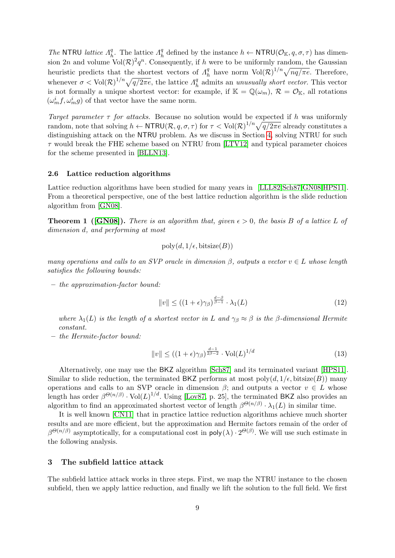The NTRU lattice  $\Lambda_h^q$ <sup>q</sup><sub>h</sub>. The lattice  $\Lambda_h^q$  $h_h^q$  defined by the instance  $h \leftarrow \text{NTRU}(\mathcal{O}_\mathbb{K}, q, \sigma, \tau)$  has dimension 2n and volume  $\text{Vol}(\mathcal{R})^2 q^n$ . Consequently, if h were to be uniformly random, the Gaussian heuristic predicts that the shortest vectors of  $\Lambda_{\mu}^{q}$  $\frac{q}{h}$  have norm  $\text{Vol}(\mathcal{R})^{1/n} \sqrt{nq/\pi e}$ . Therefore, whenever  $\sigma < \text{Vol}(\mathcal{R})^{1/n} \sqrt{q/2\pi e}$ , the lattice  $\Lambda^q_k$  $\frac{q}{h}$  admits an *unusually short vector*. This vector is not formally a unique shortest vector: for example, if  $\mathbb{K} = \mathbb{Q}(\omega_m)$ ,  $\mathcal{R} = \mathcal{O}_{\mathbb{K}}$ , all rotations  $(\omega_m^if,\omega_m^ig)$  of that vector have the same norm.

Target parameter  $\tau$  for attacks. Because no solution would be expected if h was uniformly random, note that solving  $h \leftarrow \text{NTRU}(\mathcal{R}, q, \sigma, \tau)$  for  $\tau < \text{Vol}(\mathcal{R})^{1/n} \sqrt{q/2\pi e}$  already constitutes a distinguishing attack on the NTRU problem. As we discuss in Section [4,](#page-12-0) solving NTRU for such  $\tau$  would break the FHE scheme based on NTRU from [\[LTV12\]](#page-23-3) and typical parameter choices for the scheme presented in [\[BLLN13\]](#page-21-0).

#### 2.6 Lattice reduction algorithms

Lattice reduction algorithms have been studied for many years in [\[LLL82,](#page-23-5)[Sch87](#page-24-5)[,GN08,](#page-22-12)[HPS11\]](#page-23-19). From a theoretical perspective, one of the best lattice reduction algorithm is the slide reduction algorithm from [\[GN08\]](#page-22-12).

**Theorem 1** ([\[GN08\]](#page-22-12)). There is an algorithm that, given  $\epsilon > 0$ , the basis B of a lattice L of dimension d, and performing at most

$$
poly(d, 1/\epsilon, \text{bitsize}(B))
$$

many operations and calls to an SVP oracle in dimension  $\beta$ , outputs a vector  $v \in L$  whose length satisfies the following bounds:

– the approximation-factor bound:

<span id="page-8-1"></span>
$$
||v|| \le ((1 + \epsilon)\gamma_{\beta})^{\frac{d-\beta}{\beta - 1}} \cdot \lambda_1(L) \tag{12}
$$

where  $\lambda_1(L)$  is the length of a shortest vector in L and  $\gamma_\beta \approx \beta$  is the  $\beta$ -dimensional Hermite constant.

– the Hermite-factor bound:

$$
||v|| \le ((1+\epsilon)\gamma_{\beta})^{\frac{d-1}{2\beta-2}} \cdot \text{Vol}(L)^{1/d} \tag{13}
$$

Alternatively, one may use the BKZ algorithm [\[Sch87\]](#page-24-5) and its terminated variant [\[HPS11\]](#page-23-19). Similar to slide reduction, the terminated BKZ performs at most  $\text{poly}(d, 1/\epsilon, \text{bitsize}(B))$  many operations and calls to an SVP oracle in dimension  $\beta$ ; and outputs a vector  $v \in L$  whose length has order  $\beta^{\Theta(n/\beta)} \cdot \text{Vol}(L)^{1/d}$ . Using [\[Lov87,](#page-23-20) p. 25], the terminated BKZ also provides an algorithm to find an approximated shortest vector of length  $\beta^{\Theta(n/\beta)} \cdot \lambda_1(L)$  in similar time.

It is well known [\[CN11\]](#page-22-13) that in practice lattice reduction algorithms achieve much shorter results and are more efficient, but the approximation and Hermite factors remain of the order of  $\beta^{\Theta(n/\beta)}$  asymptotically, for a computational cost in poly $(\lambda) \cdot 2^{\Theta(\beta)}$ . We will use such estimate in the following analysis.

## <span id="page-8-0"></span>3 The subfield lattice attack

The subfield lattice attack works in three steps. First, we map the NTRU instance to the chosen subfield, then we apply lattice reduction, and finally we lift the solution to the full field. We first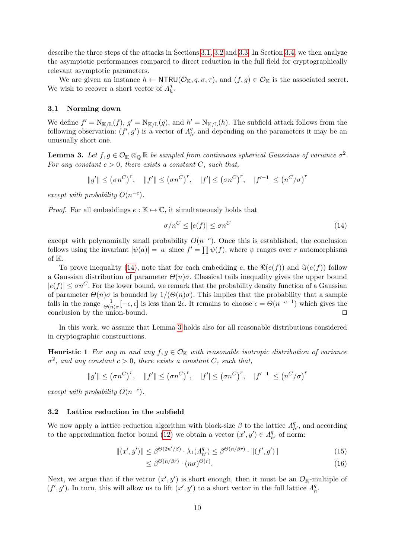describe the three steps of the attacks in Sections [3.1,](#page-9-0) [3.2](#page-9-1) and [3.3.](#page-10-0) In Section [3.4,](#page-11-0) we then analyze the asymptotic performances compared to direct reduction in the full field for cryptographically relevant asymptotic parameters.

We are given an instance  $h \leftarrow \text{NTRU}(\mathcal{O}_{\mathbb{K}}, q, \sigma, \tau)$ , and  $(f, g) \in \mathcal{O}_{\mathbb{K}}$  is the associated secret. We wish to recover a short vector of  $\Lambda_h^q$  $\frac{q}{h}$ .

#### <span id="page-9-0"></span>3.1 Norming down

We define  $f' = N_{\mathbb{K}/\mathbb{L}}(f)$ ,  $g' = N_{\mathbb{K}/\mathbb{L}}(g)$ , and  $h' = N_{\mathbb{K}/\mathbb{L}}(h)$ . The subfield attack follows from the following observation:  $(f', g')$  is a vector of  $\Lambda^q_{h'}$  and depending on the parameters it may be an unusually short one.

<span id="page-9-3"></span>**Lemma 3.** Let  $f, g \in \mathcal{O}_{\mathbb{K}} \otimes_{\mathbb{Q}} \mathbb{R}$  be sampled from continuous spherical Gaussians of variance  $\sigma^2$ . For any constant  $c > 0$ , there exists a constant C, such that,

$$
||g'|| \leq (\sigma n^C)^r
$$
,  $||f'|| \leq (\sigma n^C)^r$ ,  $|f'| \leq (\sigma n^C)^r$ ,  $|f'^{-1}| \leq (n^C/\sigma)^r$ 

except with probability  $O(n^{-c})$ .

*Proof.* For all embeddings  $e : \mathbb{K} \to \mathbb{C}$ , it simultaneously holds that

<span id="page-9-2"></span>
$$
\sigma/n^C \le |e(f)| \le \sigma n^C \tag{14}
$$

except with polynomially small probability  $O(n^{-c})$ . Once this is established, the conclusion follows using the invariant  $|\psi(a)| = |a|$  since  $f' = \prod \psi(f)$ , where  $\psi$  ranges over r automorphisms of K.

To prove inequality [\(14\)](#page-9-2), note that for each embedding e, the  $\Re(e(f))$  and  $\Im(e(f))$  follow a Gaussian distribution of parameter  $\Theta(n)\sigma$ . Classical tails inequality gives the upper bound  $|e(f)| \leq \sigma n^C$ . For the lower bound, we remark that the probability density function of a Gaussian of parameter  $\Theta(n)\sigma$  is bounded by  $1/(\Theta(n)\sigma)$ . This implies that the probability that a sample falls in the range  $\frac{1}{\Theta(n)\sigma}[-\epsilon,\epsilon]$  is less than  $2\epsilon$ . It remains to choose  $\epsilon = \Theta(n^{-c-1})$  which gives the conclusion by the union-bound.  $\Box$ 

In this work, we assume that Lemma [3](#page-9-3) holds also for all reasonable distributions considered in cryptographic constructions.

<span id="page-9-4"></span>**Heuristic 1** For any m and any  $f, g \in \mathcal{O}_{\mathbb{K}}$  with reasonable isotropic distribution of variance  $\sigma^2$ , and any constant  $c > 0$ , there exists a constant C, such that,

$$
||g'|| \leq (\sigma n^C)^r, \quad ||f'|| \leq (\sigma n^C)^r, \quad |f'| \leq (\sigma n^C)^r, \quad |f'^{-1}| \leq (n^C/\sigma)^r
$$

except with probability  $O(n^{-c})$ .

#### <span id="page-9-1"></span>3.2 Lattice reduction in the subfield

We now apply a lattice reduction algorithm with block-size  $\beta$  to the lattice  $\Lambda_{h'}^q$ , and according to the approximation factor bound [\(12\)](#page-8-1) we obtain a vector  $(x', y') \in A_{h'}^q$  of norm:

$$
||(x', y')|| \le \beta^{\Theta(2n'/\beta)} \cdot \lambda_1(A_{h'}^q) \le \beta^{\Theta(n/\beta r)} \cdot ||(f', g')|| \tag{15}
$$

$$
\leq \beta^{\Theta(n/\beta r)} \cdot (n\sigma)^{\Theta(r)}.\tag{16}
$$

<span id="page-9-5"></span>Next, we argue that if the vector  $(x', y')$  is short enough, then it must be an  $\mathcal{O}_{\mathbb{K}}$ -multiple of  $(f', g')$ . In turn, this will allow us to lift  $(x', y')$  to a short vector in the full lattice  $\Lambda^q$  $\frac{q}{h}$ .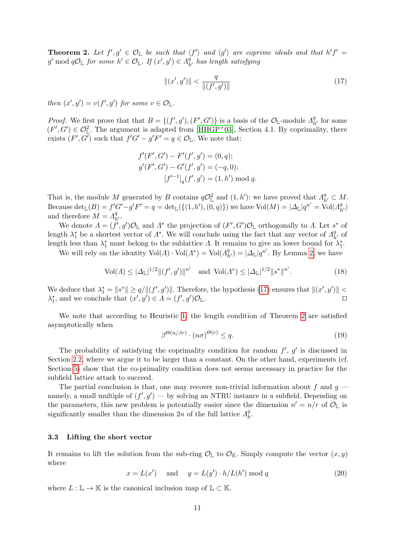**Theorem 2.** Let  $f', g' \in \mathcal{O}_{\mathbb{L}}$  be such that  $\langle f' \rangle$  and  $\langle g' \rangle$  are coprime ideals and that  $h'f' =$  $g' \bmod q \mathcal{O}_{\mathbb{L}}$  for some  $h' \in \mathcal{O}_{\mathbb{L}}$ . If  $(x', y') \in A^{\tilde{q}}_{h'}$  has length satisfying

<span id="page-10-1"></span>
$$
\|(x',y')\| < \frac{q}{\|(f',g')\|} \tag{17}
$$

then  $(x', y') = v(f', g')$  for some  $v \in \mathcal{O}_{\mathbb{L}}$ .

*Proof.* We first prove that that  $B = \{(f', g'), (F', G')\}$  is a basis of the  $\mathcal{O}_{\mathbb{L}}$ -module  $A_{h'}^q$  for some  $(F', G') \in \mathcal{O}_{\mathbb{L}}^2$ . The argument is adapted from [\[HHGP](#page-23-2)<sup>+</sup>03], Section 4.1. By coprimality, there exists  $(F', G')$  such that  $f'G' - g'F' = q \in \mathcal{O}_{\mathbb{L}}$ . We note that:

$$
f'(F', G') - F'(f', g') = (0, q);
$$
  
\n
$$
g'(F', G') - G'(f', g') = (-q, 0);
$$
  
\n
$$
[f'^{-1}]_q(f', g') = (1, h') \text{ mod } q.
$$

That is, the module M generated by B contains  $q\mathcal{O}_L^2$  and  $(1,h')$ : we have proved that  $\Lambda_{h'}^q \subset M$ . Because  $\det_{\mathbb{L}}(B) = f'G' - g'F' = q = \det_{\mathbb{L}}(\{(1, h'), (0, q)\})$  we have  $\text{Vol}(M) = |\Delta_{\mathbb{L}}|q^{n'} = \text{Vol}(\Lambda^q_{h'})$ and therefore  $\dot{M} = \dot{A}_{h'}^q$ .

We denote  $\Lambda = (f', g')\mathcal{O}_\mathbb{L}$  and  $\Lambda^*$  the projection of  $(F', G')\mathcal{O}_\mathbb{L}$  orthogonally to  $\Lambda$ . Let  $s^*$  of length  $\lambda_1^*$  be a shortest vector of  $\Lambda^*$ . We will conclude using the fact that any vector of  $\Lambda_{h'}^q$  of length less than  $\lambda_1^*$  must belong to the sublattice  $\Lambda$ . It remains to give an lower bound for  $\lambda_1^*$ .

We will rely on the identity  $Vol(\Lambda) \cdot Vol(\Lambda^*) = Vol(\Lambda^q_{h'}) = |\Delta_{\mathbb{L}}| q^{n'}$ . By Lemma [2,](#page-7-2) we have

$$
\text{Vol}(\Lambda) \le |\Delta_{\mathbb{L}}|^{1/2} \| (f', g') \|^{n'} \quad \text{and} \quad \text{Vol}(\Lambda^*) \le |\Delta_{\mathbb{L}}|^{1/2} \| s^* \|^{n'}.
$$
 (18)

We deduce that  $\lambda_1^* = ||s^*|| \ge q/||(f', g')||$ . Therefore, the hypothesis [\(17\)](#page-10-1) ensures that  $||(x', y')|| <$  $\lambda_1^*$ , and we conclude that  $(x', y') \in \Lambda = (f', g')$  $)\mathcal{O}_{\mathbb{L}}$ .

We note that according to Heuristic [1,](#page-9-4) the length condition of Theorem [2](#page-9-5) are satisfied asymptotically when

<span id="page-10-2"></span>
$$
\beta^{\Theta(n/\beta r)} \cdot (n\sigma)^{\Theta(r)} \le q. \tag{19}
$$

The probability of satisfying the coprimality condition for random  $f'$ ,  $g'$  is discussed in Section [2.2,](#page-4-1) where we argue it to be larger than a constant. On the other hand, experiments (cf. Section [5\)](#page-16-0) show that the co-primality condition does not seems necessary in practice for the subfield lattice attack to succeed.

The partial conclusion is that, one may recover non-trivial information about f and  $g$  namely, a small multiple of  $(f', g')$  — by solving an NTRU instance in a subfield. Depending on the parameters, this new problem is potentially easier since the dimension  $n' = n/r$  of  $\mathcal{O}_{\mathbb{L}}$  is significantly smaller than the dimension  $2n$  of the full lattice  $\Lambda^q$  $\frac{q}{h}$ .

## <span id="page-10-0"></span>3.3 Lifting the short vector

It remains to lift the solution from the sub-ring  $\mathcal{O}_{\mathbb{L}}$  to  $\mathcal{O}_{\mathbb{K}}$ . Simply compute the vector  $(x, y)$ where

$$
x = L(x') \quad \text{and} \quad y = L(y') \cdot h/L(h') \bmod q \tag{20}
$$

where  $L : \mathbb{L} \to \mathbb{K}$  is the canonical inclusion map of  $\mathbb{L} \subset \mathbb{K}$ .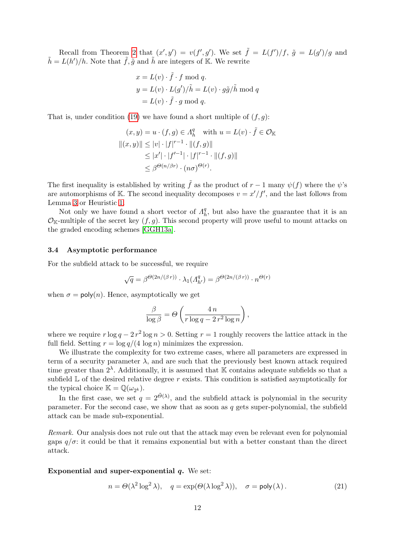Recall from Theorem [2](#page-9-5) that  $(x', y') = v(f', g')$ . We set  $\tilde{f} = L(f')/f$ ,  $\tilde{g} = L(g')/g$  and  $\tilde{h} = L(h')/h$ . Note that  $\tilde{f}, \tilde{g}$  and  $\tilde{h}$  are integers of K. We rewrite

$$
x = L(v) \cdot \tilde{f} \cdot f \mod q.
$$
  
\n
$$
y = L(v) \cdot L(g')/\tilde{h} = L(v) \cdot g\tilde{g}/\tilde{h} \mod q
$$
  
\n
$$
= L(v) \cdot \tilde{f} \cdot g \mod q.
$$

That is, under condition [\(19\)](#page-10-2) we have found a short multiple of  $(f, g)$ :

$$
(x, y) = u \cdot (f, g) \in \Lambda_h^q \quad \text{with } u = L(v) \cdot \tilde{f} \in \mathcal{O}_{\mathbb{K}}
$$
  

$$
||(x, y)|| \le |v| \cdot |f|^{r-1} \cdot ||(f, g)||
$$
  

$$
\le |x'| \cdot |f'^{-1}| \cdot |f|^{r-1} \cdot ||(f, g)||
$$
  

$$
\le \beta^{\Theta(n/\beta r)} \cdot (n\sigma)^{\Theta(r)}.
$$

The first inequality is established by writing  $\tilde{f}$  as the product of  $r - 1$  many  $\psi(f)$  where the  $\psi$ 's are automorphisms of K. The second inequality decomposes  $v = x'/f'$ , and the last follows from Lemma [3](#page-9-3) or Heuristic [1.](#page-9-4)

Not only we have found a short vector of  $\Lambda^q_k$  $h<sub>h</sub>$ , but also have the guarantee that it is an  $\mathcal{O}_{K}$ -multiple of the secret key  $(f, g)$ . This second property will prove useful to mount attacks on the graded encoding schemes [\[GGH13a\]](#page-22-1).

## <span id="page-11-0"></span>3.4 Asymptotic performance

For the subfield attack to be successful, we require

$$
\sqrt{q} = \beta^{\Theta(2n/(\beta r))} \cdot \lambda_1(\Lambda_{h'}^q) = \beta^{\Theta(2n/(\beta r))} \cdot n^{\Theta(r)}
$$

when  $\sigma = \text{poly}(n)$ . Hence, asymptotically we get

$$
\frac{\beta}{\log \beta} = \Theta \left( \frac{4 n}{r \log q - 2 r^2 \log n} \right),\,
$$

where we require  $r \log q - 2r^2 \log n > 0$ . Setting  $r = 1$  roughly recovers the lattice attack in the full field. Setting  $r = \log q/(4 \log n)$  minimizes the expression.

We illustrate the complexity for two extreme cases, where all parameters are expressed in term of a security parameter  $\lambda$ , and are such that the previously best known attack required time greater than  $2^{\lambda}$ . Additionally, it is assumed that K contains adequate subfields so that a subfield  $\mathbb L$  of the desired relative degree r exists. This condition is satisfied asymptotically for the typical choice  $\mathbb{K} = \mathbb{Q}(\omega_{2^k})$ .

In the first case, we set  $q = 2^{\tilde{\Theta}(\lambda)}$ , and the subfield attack is polynomial in the security parameter. For the second case, we show that as soon as  $q$  gets super-polynomial, the subfield attack can be made sub-exponential.

Remark. Our analysis does not rule out that the attack may even be relevant even for polynomial gaps  $q/\sigma$ : it could be that it remains exponential but with a better constant than the direct attack.

#### Exponential and super-exponential  $q$ . We set:

$$
n = \Theta(\lambda^2 \log^2 \lambda), \quad q = \exp(\Theta(\lambda \log^2 \lambda)), \quad \sigma = \text{poly}(\lambda). \tag{21}
$$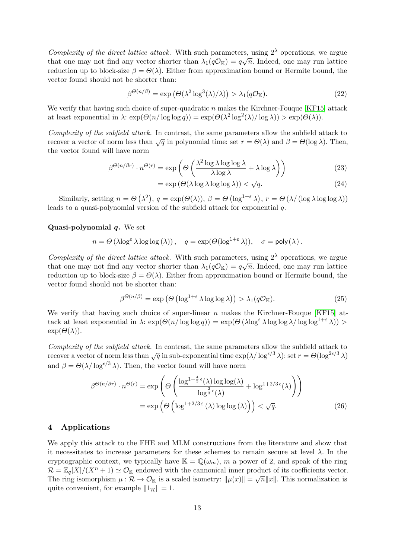Complexity of the direct lattice attack. With such parameters, using  $2^{\lambda}$  operations, we argue that one may not find any vector shorter than  $\lambda_1(q\mathcal{O}_\mathbb{K}) = q\sqrt{n}$ . Indeed, one may run lattice reduction up to block-size  $\beta = \Theta(\lambda)$ . Either from approximation bound or Hermite bound, the vector found should not be shorter than:

$$
\beta^{\Theta(n/\beta)} = \exp\left(\Theta(\lambda^2 \log^3(\lambda)/\lambda)\right) > \lambda_1(q\mathcal{O}_\mathbb{K}).\tag{22}
$$

We verify that having such choice of super-quadratic  $n$  makes the Kirchner-Fouque [\[KF15\]](#page-23-9) attack at least exponential in  $\lambda$ :  $\exp(\Theta(n/\log\log q)) = \exp(\Theta(\lambda^2 \log^2(\lambda)/\log \lambda)) > \exp(\Theta(\lambda)).$ 

Complexity of the subfield attack. In contrast, the same parameters allow the subfield attack to recover a vector of norm less than  $\sqrt{q}$  in polynomial time: set  $r = \Theta(\lambda)$  and  $\beta = \Theta(\log \lambda)$ . Then, the vector found will have norm

$$
\beta^{\Theta(n/\beta r)} \cdot n^{\Theta(r)} = \exp\left(\Theta\left(\frac{\lambda^2 \log \lambda \log \log \lambda}{\lambda \log \lambda} + \lambda \log \lambda\right)\right)
$$
(23)

$$
= \exp\left(\Theta(\lambda \log \lambda \log \log \lambda)\right) < \sqrt{q}.\tag{24}
$$

Similarly, setting  $n = \Theta(\lambda^2)$ ,  $q = \exp(\Theta(\lambda))$ ,  $\beta = \Theta(\log^{1+\epsilon} \lambda)$ ,  $r = \Theta(\lambda/(\log \lambda \log \log \lambda))$ leads to a quasi-polynomial version of the subfield attack for exponential q.

#### Quasi-polynomial  $q$ . We set

$$
n = \Theta\left(\lambda \log^{\varepsilon} \lambda \log \log\left(\lambda\right)\right), \quad q = \exp(\Theta(\log^{1+\varepsilon} \lambda)), \quad \sigma = \mathsf{poly}(\lambda)\,.
$$

Complexity of the direct lattice attack. With such parameters, using  $2^{\lambda}$  operations, we argue that one may not find any vector shorter than  $\lambda_1(q\mathcal{O}_\mathbb{K}) = q\sqrt{n}$ . Indeed, one may run lattice reduction up to block-size  $\beta = \Theta(\lambda)$ . Either from approximation bound or Hermite bound, the vector found should not be shorter than:

$$
\beta^{\Theta(n/\beta)} = \exp\left(\Theta\left(\log^{1+\varepsilon}\lambda\log\log\lambda\right)\right) > \lambda_1(q\mathcal{O}_\mathbb{K}).\tag{25}
$$

We verify that having such choice of super-linear  $n$  makes the Kirchner-Fouque [\[KF15\]](#page-23-9) attack at least exponential in  $\lambda$ :  $\exp(\Theta(n/\log\log q)) = \exp(\Theta(\lambda \log^{\epsilon} \lambda \log \log \lambda/\log \log^{1+\epsilon} \lambda)) >$  $\exp(\Theta(\lambda)).$ 

Complexity of the subfield attack. In contrast, the same parameters allow the subfield attack to recover a vector of norm less than  $\sqrt{q}$  in sub-exponential time  $\exp(\lambda/\log^{\epsilon/3} \lambda)$ : set  $r = \Theta(\log^{2\epsilon/3} \lambda)$ and  $\beta = \Theta(\lambda/\log^{\epsilon/3} \lambda)$ . Then, the vector found will have norm

$$
\beta^{\Theta(n/\beta r)} \cdot n^{\Theta(r)} = \exp\left(\Theta\left(\frac{\log^{1+\frac{4}{3}\epsilon}(\lambda)\log\log(\lambda)}{\log^{\frac{2}{3}\epsilon}(\lambda)} + \log^{1+2/3\epsilon}(\lambda)\right)\right)
$$

$$
= \exp\left(\Theta\left(\log^{1+2/3\epsilon}(\lambda)\log\log(\lambda)\right)\right) < \sqrt{q}.
$$
(26)

## <span id="page-12-0"></span>4 Applications

We apply this attack to the FHE and MLM constructions from the literature and show that it necessitates to increase parameters for these schemes to remain secure at level  $\lambda$ . In the cryptographic context, we typically have  $\mathbb{K} = \mathbb{Q}(\omega_m)$ , m a power of 2, and speak of the ring  $\mathcal{R} = \mathbb{Z}_q[X]/(X^n + 1) \simeq \mathcal{O}_{\mathbb{K}}$  endowed with the cannonical inner product of its coefficients vector. The ring isomorphism  $\mu : \mathcal{R} \to \mathcal{O}_{\mathbb{K}}$  is a scaled isometry:  $\|\mu(x)\| = \sqrt{n} \|x\|$ . This normalization is quite convenient, for example  $||1_{\mathcal{R}}|| = 1$ .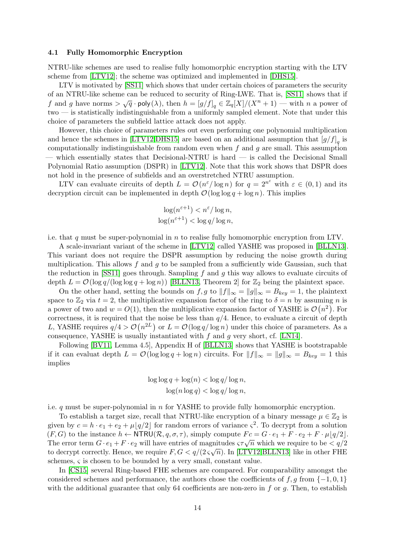#### 4.1 Fully Homomorphic Encryption

NTRU-like schemes are used to realise fully homomorphic encryption starting with the LTV scheme from [\[LTV12\]](#page-23-3); the scheme was optimized and implemented in [\[DHS15\]](#page-22-14).

LTV is motivated by [\[SS11\]](#page-24-6) which shows that under certain choices of parameters the security of an NTRU-like scheme can be reduced to security of Ring-LWE. That is, [\[SS11\]](#page-24-6) shows that if f and g have norms  $> \sqrt{q} \cdot \text{poly}(\lambda)$ , then  $h = [g/f]_q \in \mathbb{Z}_q[X]/(X^n + 1)$  — with n a power of two — is statistically indistinguishable from a uniformly sampled element. Note that under this choice of parameters the subfield lattice attack does not apply.

However, this choice of parameters rules out even performing one polynomial multiplication and hence the schemes in [\[LTV12](#page-23-3)[,DHS15\]](#page-22-14) are based on an additional assumption that  $[g/f]_q$  is computationally indistinguishable from random even when  $f$  and  $g$  are small. This assumption — which essentially states that Decisional-NTRU is hard — is called the Decisional Small Polynomial Ratio assumption (DSPR) in [\[LTV12\]](#page-23-3). Note that this work shows that DSPR does not hold in the presence of subfields and an overstretched NTRU assumption.

LTV can evaluate circuits of depth  $L = \mathcal{O}(n^{\varepsilon}/\log n)$  for  $q = 2^{n^{\varepsilon}}$  with  $\varepsilon \in (0,1)$  and its decryption circuit can be implemented in depth  $\mathcal{O}(\log \log q + \log n)$ . This implies

$$
\log(n^{\varepsilon+1}) < n^{\varepsilon} / \log n,
$$
\n
$$
\log(n^{\varepsilon+1}) < \log q / \log n,
$$

i.e. that q must be super-polynomial in  $n$  to realise fully homomorphic encryption from LTV.

A scale-invariant variant of the scheme in [\[LTV12\]](#page-23-3) called YASHE was proposed in [\[BLLN13\]](#page-21-0). This variant does not require the DSPR assumption by reducing the noise growth during multiplication. This allows  $f$  and  $g$  to be sampled from a sufficiently wide Gaussian, such that the reduction in [\[SS11\]](#page-24-6) goes through. Sampling f and g this way allows to evaluate circuits of depth  $L = \mathcal{O}(\log q/(\log \log q + \log n))$  [\[BLLN13,](#page-21-0) Theorem 2] for  $\mathbb{Z}_2$  being the plaintext space.

On the other hand, setting the bounds on f, g to  $||f||_{\infty} = ||g||_{\infty} = B_{key} = 1$ , the plaintext space to  $\mathbb{Z}_2$  via  $t = 2$ , the multiplicative expansion factor of the ring to  $\delta = n$  by assuming n is a power of two and  $w = O(1)$ , then the multiplicative expansion factor of YASHE is  $\mathcal{O}(n^2)$ . For correctness, it is required that the noise be less than  $q/4$ . Hence, to evaluate a circuit of depth L, YASHE requires  $q/4 > \mathcal{O}(n^{2L})$  or  $L = \mathcal{O}(\log q/\log n)$  under this choice of parameters. As a consequence, YASHE is usually instantiated with  $f$  and  $g$  very short, cf. [\[LN14\]](#page-23-21).

Following [\[BV11,](#page-22-15) Lemma 4.5], Appendix H of [\[BLLN13\]](#page-21-0) shows that YASHE is bootstrapable if it can evaluat depth  $L = \mathcal{O}(\log \log q + \log n)$  circuits. For  $||f||_{\infty} = ||g||_{\infty} = B_{key} = 1$  this implies

$$
\log \log q + \log(n) < \log q / \log n,
$$
\n
$$
\log(n \log q) < \log q / \log n,
$$

i.e.  $q$  must be super-polynomial in  $n$  for YASHE to provide fully homomorphic encryption.

To establish a target size, recall that NTRU-like encryption of a binary message  $\mu \in \mathbb{Z}_2$  is given by  $c = h \cdot e_1 + e_2 + \mu \lfloor q/2 \rfloor$  for random errors of variance  $\zeta^2$ . To decrypt from a solution  $(F, G)$  to the instance  $h \leftarrow \text{NTRU}(\mathcal{R}, q, \sigma, \tau)$ , simply compute  $Fc = G \cdot e_1 + F \cdot e_2 + F \cdot \mu |q/2|$ . The error term  $G \cdot e_1 + F \cdot e_2$  will have entries of magnitudes  $\varsigma \tau \sqrt{n}$  which we require to be  $\langle q/2 \rangle$ <br>The error term  $G \cdot e_1 + F \cdot e_2$  will have entries of magnitudes  $\varsigma \tau \sqrt{n}$  which we require to be  $\langle q/2 \rangle$ to decrypt correctly. Hence, we require  $F, G < q/(2\varsigma\sqrt{n})$ . In [\[LTV12](#page-23-3)[,BLLN13\]](#page-21-0) like in other FHE schemes,  $\varsigma$  is chosen to be bounded by a very small, constant value.

In [\[CS15\]](#page-22-16) several Ring-based FHE schemes are compared. For comparability amongst the considered schemes and performance, the authors chose the coefficients of f, g from  $\{-1,0,1\}$ with the additional guarantee that only 64 coefficients are non-zero in  $f$  or  $g$ . Then, to establish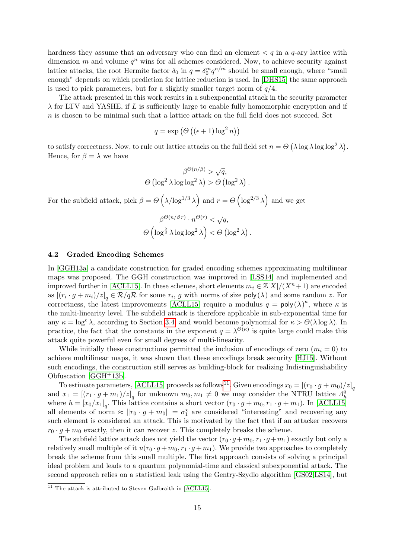hardness they assume that an adversary who can find an element  $\lt q$  in a q-ary lattice with dimension  $m$  and volume  $q^n$  wins for all schemes considered. Now, to achieve security against lattice attacks, the root Hermite factor  $\delta_0$  in  $q = \delta_0^m q^{n/m}$  should be small enough, where "small" enough" depends on which prediction for lattice reduction is used. In [\[DHS15\]](#page-22-14) the same approach is used to pick parameters, but for a slightly smaller target norm of  $q/4$ .

The attack presented in this work results in a subexponential attack in the security parameter  $\lambda$  for LTV and YASHE, if L is sufficiently large to enable fully homomorphic encryption and if  $n$  is chosen to be minimal such that a lattice attack on the full field does not succeed. Set

$$
q = \exp\left(\Theta\left((\epsilon + 1)\log^2 n\right)\right)
$$

to satisfy correctness. Now, to rule out lattice attacks on the full field set  $n = \Theta(\lambda \log \lambda \log \log^2 \lambda)$ . Hence, for  $\beta = \lambda$  we have

$$
\beta^{\Theta(n/\beta)} > \sqrt{q},
$$
  
 
$$
\Theta(\log^2 \lambda \log \log^2 \lambda) > \Theta(\log^2 \lambda).
$$

For the subfield attack, pick  $\beta = \Theta\left(\lambda/\log^{1/3} \lambda\right)$  and  $r = \Theta\left(\log^{2/3} \lambda\right)$  and we get

$$
\beta^{\Theta(n/\beta r)} \cdot n^{\Theta(r)} < \sqrt{q},
$$
\n
$$
\Theta\left(\log^{\frac{5}{3}} \lambda \log \log^2 \lambda\right) < \Theta\left(\log^2 \lambda\right).
$$

#### 4.2 Graded Encoding Schemes

In [\[GGH13a\]](#page-22-1) a candidate construction for graded encoding schemes approximating multilinear maps was proposed. The GGH construction was improved in [\[LSS14\]](#page-23-4) and implemented and improved further in [\[ACLL15\]](#page-21-1). In these schemes, short elements  $m_i \in \mathbb{Z}[X]/(X^n + 1)$  are encoded as  $[(r_i \cdot g + m_i)/z]_q \in \mathcal{R}/q\mathcal{R}$  for some  $r_i$ , g with norms of size  $\mathsf{poly}(\lambda)$  and some random z. For correctness, the latest improvements [\[ACLL15\]](#page-21-1) require a modulus  $q = \text{poly}(\lambda)^{\kappa}$ , where  $\kappa$  is the multi-linearity level. The subfield attack is therefore applicable in sub-exponential time for any  $\kappa = \log^{\epsilon} \lambda$ , according to Section [3.4,](#page-11-0) and would become polynomial for  $\kappa > \Theta(\lambda \log \lambda)$ . In practice, the fact that the constants in the exponent  $q = \lambda^{\Theta(\kappa)}$  is quite large could make this attack quite powerful even for small degrees of multi-linearity.

While initially these constructions permitted the inclusion of encodings of zero  $(m_i = 0)$  to achieve multilinear maps, it was shown that these encodings break security [\[HJ15\]](#page-23-11). Without such encodings, the construction still serves as building-block for realizing Indistinguishability Obfuscation [\[GGH](#page-22-17)+13b].

To estimate parameters, [\[ACLL15\]](#page-21-1) proceeds as follows<sup>[11](#page-14-0)</sup>. Given encodings  $x_0 = [(r_0 \cdot g + m_0)/z]_q$ and  $x_1 = \left[ (r_1 \cdot g + m_1)/z \right]_q$  for unknown  $m_0, m_1 \neq 0$  we may consider the NTRU lattice  $A<sub>f</sub><sup>q</sup>$ h where  $h = [x_0/x_1]_q$ . This lattice contains a short vector  $(r_0 \cdot g + m_0, r_1 \cdot g + m_1)$ . In [\[ACLL15\]](#page-21-1) all elements of norm  $\approx ||r_0 \cdot g + m_0|| = \sigma_1^*$  are considered "interesting" and recovering any such element is considered an attack. This is motivated by the fact that if an attacker recovers  $r_0 \cdot g + m_0$  exactly, then it can recover z. This completely breaks the scheme.

The subfield lattice attack does not yield the vector  $(r_0 \cdot q + m_0, r_1 \cdot q + m_1)$  exactly but only a relatively small multiple of it  $u(r_0 \cdot q + m_0, r_1 \cdot q + m_1)$ . We provide two approaches to completely break the scheme from this small multiple. The first approach consists of solving a principal ideal problem and leads to a quantum polynomial-time and classical subexponential attack. The second approach relies on a statistical leak using the Gentry-Szydlo algorithm [\[GS02](#page-23-10)[,LS14\]](#page-23-13), but

<span id="page-14-0"></span> $11$  The attack is attributed to Steven Galbraith in [\[ACLL15\]](#page-21-1).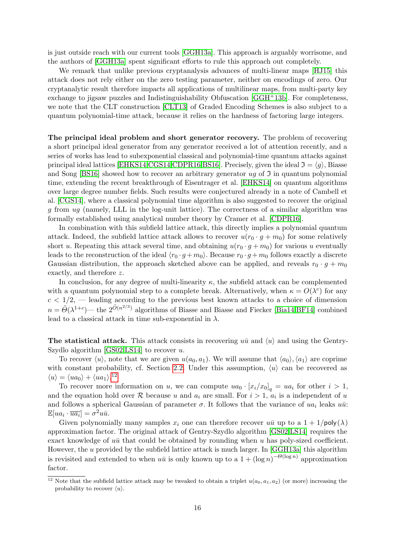is just outside reach with our current tools [\[GGH13a\]](#page-22-1). This approach is arguably worrisome, and the authors of [\[GGH13a\]](#page-22-1) spent significant efforts to rule this approach out completely.

We remark that unlike previous cryptanalysis advances of multi-linear maps [\[HJ15\]](#page-23-11) this attack does not rely either on the zero testing parameter, neither on encodings of zero. Our cryptanalytic result therefore impacts all applications of multilinear maps, from multi-party key exchange to jigsaw puzzles and Indistinguishability Obfuscation [\[GGH](#page-22-17)+13b]. For completeness, we note that the CLT construction [\[CLT13\]](#page-22-18) of Graded Encoding Schemes is also subject to a quantum polynomial-time attack, because it relies on the hardness of factoring large integers.

The principal ideal problem and short generator recovery. The problem of recovering a short principal ideal generator from any generator received a lot of attention recently, and a series of works has lead to subexponential classical and polynomial-time quantum attacks against principal ideal lattices [\[EHKS14](#page-22-19)[,CGS14,](#page-22-8)[CDPR16](#page-22-9)[,BS16\]](#page-22-20). Precisely, given the ideal  $\mathfrak{I} = \langle q \rangle$ , Biasse and Song [\[BS16\]](#page-22-20) showed how to recover an arbitrary generator  $uq$  of  $\Im$  in quantum polynomial time, extending the recent breakthrough of Eisentrager et al. [\[EHKS14\]](#page-22-19) on quantum algorithms over large degree number fields. Such results were conjectured already in a note of Cambell et al. [\[CGS14\]](#page-22-8), where a classical polynomial time algorithm is also suggested to recover the original g from ug (namely, LLL in the log-unit lattice). The correctness of a similar algorithm was formally established using analytical number theory by Cramer et al. [\[CDPR16\]](#page-22-9).

In combination with this subfield lattice attack, this directly implies a polynomial quantum attack. Indeed, the subfield lattice attack allows to recover  $u(r_0 \cdot g + m_0)$  for some relatively short u. Repeating this attack several time, and obtaining  $u(r_0 \cdot g + m_0)$  for various u eventually leads to the reconstruction of the ideal  $\langle r_0 \cdot g + m_0 \rangle$ . Because  $r_0 \cdot g + m_0$  follows exactly a discrete Gaussian distribution, the approach sketched above can be applied, and reveals  $r_0 \cdot g + m_0$ exactly, and therefore z.

In conclusion, for any degree of multi-linearity  $\kappa$ , the subfield attack can be complemented with a quantum polynomial step to a complete break. Alternatively, when  $\kappa = O(\lambda^c)$  for any  $c < 1/2$ , — leading according to the previous best known attacks to a choice of dimension  $n = \tilde{\Theta}(\lambda^{1+c})$  the  $2^{\tilde{O}(n^{2/3})}$  algorithms of Biasse and Biasse and Fiecker [\[Bia14,](#page-21-3)[BF14\]](#page-21-4) combined lead to a classical attack in time sub-exponential in  $\lambda.$ 

The statistical attack. This attack consists in recovering  $u\bar{u}$  and  $\langle u \rangle$  and using the Gentry-Szydlo algorithm [\[GS02](#page-23-10)[,LS14\]](#page-23-13) to recover  $u$ .

To recover  $\langle u \rangle$ , note that we are given  $u(a_0, a_1)$ . We will assume that  $\langle a_0 \rangle$ ,  $\langle a_1 \rangle$  are coprime with constant probability, cf. Section [2.2.](#page-4-1) Under this assumption,  $\langle u \rangle$  can be recovered as  $\langle u \rangle = \langle ua_0 \rangle + \langle ua_1 \rangle^{12}$  $\langle u \rangle = \langle ua_0 \rangle + \langle ua_1 \rangle^{12}$  $\langle u \rangle = \langle ua_0 \rangle + \langle ua_1 \rangle^{12}$ 

To recover more information on u, we can compute  $ua_0 \cdot [x_i/x_0]_q = ua_i$  for other  $i > 1$ , and the equation hold over R because u and  $a_i$  are small. For  $i > 1$ ,  $a_i$  is a independent of u and follows a spherical Gaussian of parameter  $\sigma$ . It follows that the variance of ua<sub>i</sub> leaks  $u\bar{u}$ :  $\mathbb{E}[ua_i \cdot \overline{ua_i}] = \sigma^2 u \overline{u}.$ 

Given polynomially many samples  $x_i$  one can therefore recover  $u\bar{u}$  up to a  $1 + 1/\text{poly}(\lambda)$ approximation factor. The original attack of Gentry-Szydlo algorithm [\[GS02](#page-23-10)[,LS14\]](#page-23-13) requires the exact knowledge of  $u\bar{u}$  that could be obtained by rounding when u has poly-sized coefficient. However, the  $u$  provided by the subfield lattice attack is much larger. In [\[GGH13a\]](#page-22-1) this algorithm is revisited and extended to when  $u\bar{u}$  is only known up to a  $1 + (\log n)^{-\Theta(\log n)}$  approximation factor.

<span id="page-15-0"></span><sup>&</sup>lt;sup>12</sup> Note that the subfield lattice attack may be tweaked to obtain a triplet  $u(a_0, a_1, a_2)$  (or more) increasing the probability to recover  $\langle u \rangle$ .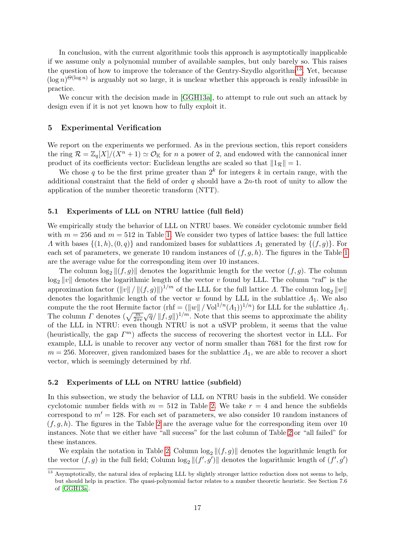In conclusion, with the current algorithmic tools this approach is asymptotically inapplicable if we assume only a polynomial number of available samples, but only barely so. This raises the question of how to improve the tolerance of the Gentry-Szydlo algorithm<sup>[13](#page-16-1)</sup>. Yet, because  $(\log n)^{\Theta(\log n)}$  is arguably not so large, it is unclear whether this approach is really infeasible in practice.

We concur with the decision made in [\[GGH13a\]](#page-22-1), to attempt to rule out such an attack by design even if it is not yet known how to fully exploit it.

## <span id="page-16-0"></span>5 Experimental Verification

We report on the experiments we performed. As in the previous section, this report considers the ring  $\mathcal{R} = \mathbb{Z}_q[X]/(X^n + 1) \simeq \mathcal{O}_{\mathbb{K}}$  for n a power of 2, and endowed with the cannonical inner product of its coefficients vector: Euclidean lengths are scaled so that  $||1_R|| = 1$ .

We chose q to be the first prime greater than  $2^k$  for integers k in certain range, with the additional constraint that the field of order  $q$  should have a 2n-th root of unity to allow the application of the number theoretic transform (NTT).

## 5.1 Experiments of LLL on NTRU lattice (full field)

We empirically study the behavior of LLL on NTRU bases. We consider cyclotomic number field with  $m = 256$  and  $m = 512$  in Table [1.](#page-17-0) We consider two types of lattice bases: the full lattice  $Λ$  with bases  $\{(1, h), (0, q)\}\$  and randomized bases for sublattices  $Λ_1$  generated by  $\{(f, q)\}\$ . For each set of parameters, we generate [1](#page-17-0)0 random instances of  $(f, g, h)$ . The figures in the Table 1 are the average value for the corresponding item over 10 instances.

The column  $\log_2 ||(f, g)||$  denotes the logarithmic length for the vector  $(f, g)$ . The column  $\log_2 ||v||$  denotes the logarithmic length of the vector v found by LLL. The column "raf" is the approximation factor  $(\|v\| / \| (f, g) \|)^{1/m}$  of the LLL for the full lattice  $\Lambda$ . The column  $\log_2 \|w\|$ denotes the logarithmic length of the vector w found by LLL in the sublattice  $\Lambda_1$ . We also compute the the root Hermite factor (rhf =  $(\|w\| / \text{Vol}^{1/n}(A_1))^{1/n}$ ) for LLL for the sublattice  $A_1$ . The column  $\Gamma$  denotes  $(\sqrt{\frac{m}{2\pi}}\sqrt{q}/\Vert f,g\Vert)^{1/m}$ . Note that this seems to approximate the ability of the LLL in NTRU: even though NTRU is not a uSVP problem, it seems that the value (heuristically, the gap  $\Gamma^m$ ) affects the success of recovering the shortest vector in LLL. For example, LLL is unable to recover any vector of norm smaller than 7681 for the first row for  $m = 256$ . Moreover, given randomized bases for the sublattice  $\Lambda_1$ , we are able to recover a short vector, which is seemingly determined by rhf.

## 5.2 Experiments of LLL on NTRU lattice (subfield)

In this subsection, we study the behavior of LLL on NTRU basis in the subfield. We consider cyclotomic number fields with  $m = 512$  in Table [2.](#page-17-1) We take  $r = 4$  and hence the subfields correspond to  $m' = 128$ . For each set of parameters, we also consider 10 random instances of  $(f, q, h)$ . The figures in the Table [2](#page-17-1) are the average value for the corresponding item over 10 instances. Note that we either have "all success" for the last column of Table [2](#page-17-1) or "all failed" for these instances.

We explain the notation in Table [2.](#page-17-1) Column  $\log_2 ||(f,g)||$  denotes the logarithmic length for the vector  $(f, g)$  in the full field; Column  $\log_2 ||(f', g')||$  denotes the logarithmic length of  $(f', g')$ 

<span id="page-16-1"></span><sup>&</sup>lt;sup>13</sup> Asymptotically, the natural idea of replacing LLL by slightly stronger lattice reduction does not seems to help, but should help in practice. The quasi-polynomial factor relates to a number theoretic heuristic. See Section 7.6 of [\[GGH13a\]](#page-22-1).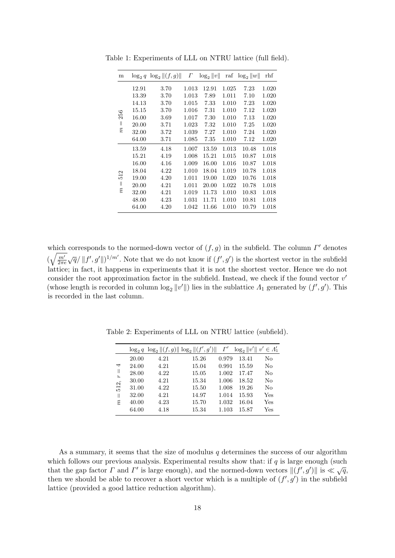| m                              | $\log_2 q$ | $\log_2   (f,g)  $ | $\varGamma$ | $\log_2   v  $ | $\operatorname{raf}$ | $\log_2   w  $ | rhf   |
|--------------------------------|------------|--------------------|-------------|----------------|----------------------|----------------|-------|
|                                | 12.91      | 3.70               | 1.013       | 12.91          | 1.025                | 7.23           | 1.020 |
|                                | 13.39      | 3.70               | 1.013       | 7.89           | 1.011                | 7.10           | 1.020 |
|                                | 14.13      | 3.70               | 1.015       | 7.33           | 1.010                | 7.23           | 1.020 |
|                                | 15.15      | 3.70               | 1.016       | 7.31           | 1.010                | 7.12           | 1.020 |
| 256                            | 16.00      | 3.69               | 1.017       | 7.30           | 1.010                | 7.13           | 1.020 |
| $\parallel$                    | 20.00      | 3.71               | 1.023       | 7.32           | 1.010                | 7.25           | 1.020 |
| $\widetilde{n}$                | 32.00      | 3.72               | 1.039       | 7.27           | 1.010                | 7.24           | 1.020 |
|                                | 64.00      | 3.71               | 1.085       | 7.35           | 1.010                | 7.12           | 1.020 |
|                                | 13.59      | 4.18               | 1.007       | 13.59          | 1.013                | 10.48          | 1.018 |
|                                | 15.21      | 4.19               | 1.008       | 15.21          | 1.015                | 10.87          | 1.018 |
|                                | 16.00      | $4.16\,$           | 1.009       | 16.00          | 1.016                | 10.87          | 1.018 |
| N                              | 18.04      | 4.22               | 1.010       | 18.04          | 1.019                | 10.78          | 1.018 |
| 12                             | 19.00      | 4.20               | 1.011       | 19.00          | 1.020                | 10.76          | 1.018 |
| $\parallel$<br>$\widetilde{n}$ | 20.00      | 4.21               | 1.011       | 20.00          | 1.022                | 10.78          | 1.018 |
|                                | 32.00      | 4.21               | 1.019       | 11.73          | 1.010                | 10.83          | 1.018 |
|                                | 48.00      | 4.23               | 1.031       | 11.71          | 1.010                | 10.81          | 1.018 |
|                                | 64.00      | 4.20               | 1.042       | 11.66          | 1.010                | 10.79          | 1.018 |

<span id="page-17-0"></span>Table 1: Experiments of LLL on NTRU lattice (full field).

which corresponds to the normed-down vector of  $(f, g)$  in the subfield. The column  $\Gamma'$  denotes  $\left(\sqrt{\frac{m'}{2\pi\epsilon}}\right)$  $\frac{m'}{2\pi e}\sqrt{q}/\Vert f',g'\Vert \big)^{1/m'}$ . Note that we do not know if  $(f',g')$  is the shortest vector in the subfield lattice; in fact, it happens in experiments that it is not the shortest vector. Hence we do not consider the root approximation factor in the subfield. Instead, we check if the found vector  $v'$ (whose length is recorded in column  $\log_2 ||v'||$ ) lies in the sublattice  $\Lambda_1$  generated by  $(f', g')$ . This is recorded in the last column.

|                      |       |      | $\log_2 q \log_2   (f,g)   \log_2   (f',g')  $ | $\Gamma'$ | $\log_2 \ v'\ $ $v' \in \Lambda'_1$ |     |
|----------------------|-------|------|------------------------------------------------|-----------|-------------------------------------|-----|
| ↤                    | 20.00 | 4.21 | 15.26                                          | 0.979     | 13.41                               | No  |
|                      | 24.00 | 4.21 | 15.04                                          | 0.991     | 15.59                               | No  |
| Ш<br>$\pmb{\hat{r}}$ | 28.00 | 4.22 | 15.05                                          | 1.002     | 17.47                               | No  |
|                      | 30.00 | 4.21 | 15.34                                          | 1.006     | 18.52                               | No  |
| 512,                 | 31.00 | 4.22 | 15.50                                          | 1.008     | 19.26                               | No  |
| $\mathsf{I}$         | 32.00 | 4.21 | 14.97                                          | 1.014     | 15.93                               | Yes |
| $\tilde{\epsilon}$   | 40.00 | 4.23 | 15.70                                          | 1.032     | 16.04                               | Yes |
|                      | 64.00 | 4.18 | 15.34                                          | 1.103     | 15.87                               | Yes |

<span id="page-17-1"></span>Table 2: Experiments of LLL on NTRU lattice (subfield).

As a summary, it seems that the size of modulus  $q$  determines the success of our algorithm which follows our previous analysis. Experimental results show that: if  $q$  is large enough (such which follows our previous analysis. Experimental results show that, if q is farge enough (such that the gap factor  $\Gamma$  and  $\Gamma'$  is large enough), and the normed-down vectors  $\|(f', g')\|$  is  $\ll \sqrt{q}$ , then we should be able to recover a short vector which is a multiple of  $(f', g')$  in the subfield lattice (provided a good lattice reduction algorithm).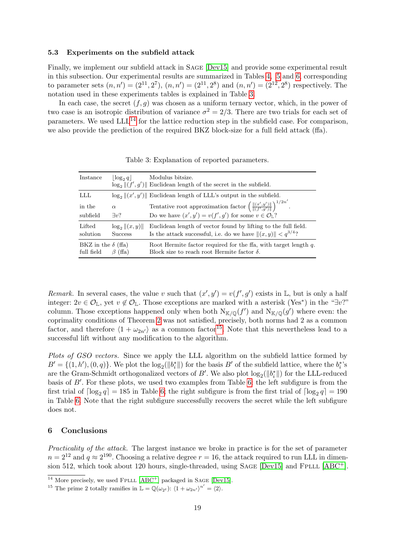#### 5.3 Experiments on the subfield attack

Finally, we implement our subfield attack in Sage [\[Dev15\]](#page-22-21) and provide some experimental result in this subsection. Our experimental results are summarized in Tables [4,](#page-25-0) [5](#page-26-0) and [6,](#page-27-0) corresponding to parameter sets  $(n, n') = (2^{11}, 2^7), (n, n') = (2^{11}, 2^8)$  and  $(n, n') = (2^{12}, 2^8)$  respectively. The notation used in these experiments tables is explained in Table [3.](#page-18-1)

In each case, the secret  $(f, g)$  was chosen as a uniform ternary vector, which, in the power of two case is an isotropic distribution of variance  $\sigma^2 = 2/3$ . There are two trials for each set of parameters. We used  $LLL^{14}$  $LLL^{14}$  $LLL^{14}$  for the lattice reduction step in the subfield case. For comparison, we also provide the prediction of the required BKZ block-size for a full field attack (ffa).

<span id="page-18-1"></span>

| Instance                                | $\log_2 q$                     | Modulus bitsize.<br>$\log_2   (f', g')  $ Euclidean length of the secret in the subfield.                                            |
|-----------------------------------------|--------------------------------|--------------------------------------------------------------------------------------------------------------------------------------|
| LLL                                     |                                | $\log_2   (x', y')  $ Euclidean length of LLL's output in the subfield.                                                              |
| in the                                  | $\alpha$                       | Tentative root approximation factor $\left( \frac{\  (x', y') \ }{\  (f', q') \ } \right)^{1/2n'}$ .                                 |
| subfield                                | $\exists v$ ?                  | Do we have $(x', y') = v(f', g')$ for some $v \in \mathcal{O}_{L}$ ?                                                                 |
| Lifted<br>solution                      | $\log_2   (x, y)  $<br>Success | Euclidean length of vector found by lifting to the full field.<br>Is the attack successful, i.e. do we have $  (x, y)   < q^{3/4}$ ? |
| BKZ in the $\delta$ (ffa)<br>full field | (ffa)<br>B                     | Root Hermite factor required for the fla, with target length $q$ .<br>Block size to reach root Hermite factor $\delta$ .             |

Table 3: Explanation of reported parameters.

Remark. In several cases, the value v such that  $(x', y') = v(f', g')$  exists in L, but is only a half integer:  $2v \in \mathcal{O}_{\mathbb{L}}$ , yet  $v \notin \mathcal{O}_{\mathbb{L}}$ . Those exceptions are marked with a asterisk (Yes<sup>\*</sup>) in the "∃v?" column. Those exceptions happened only when both  $N_{K/\mathbb{Q}}(f')$  and  $N_{K/\mathbb{Q}}(g')$  where even: the coprimality conditions of Theorem [2](#page-9-5) was not satisfied, precisely, both norms had 2 as a common factor, and therefore  $\langle 1 + \omega_{2n'} \rangle$  as a common factor<sup>[15](#page-18-3)</sup>. Note that this nevertheless lead to a successful lift without any modification to the algorithm.

Plots of GSO vectors. Since we apply the LLL algorithm on the subfield lattice formed by  $B' = \{(1, h'), (0, q)\}.$  We plot the  $\log_2(||b_i^*||)$  for the basis  $B'$  of the subfield lattice, where the  $b_i^*$ 's are the Gram-Schmidt orthogonalized vectors of B'. We also plot  $log_2(||b_i^*||)$  for the LLL-reduced basis of  $B'$ . For these plots, we used two examples from Table [6:](#page-27-0) the left subfigure is from the first trial of  $\lceil \log_2 q \rceil = 185$  in Table [6;](#page-27-0) the right subfigure is from the first trial of  $\lceil \log_2 q \rceil = 190$ in Table [6.](#page-27-0) Note that the right subfigure successfully recovers the secret while the left subfigure does not.

## <span id="page-18-0"></span>6 Conclusions

Practicality of the attack. The largest instance we broke in practice is for the set of parameter  $n = 2^{12}$  and  $q \approx 2^{190}$ . Choosing a relative degree  $r = 16$ , the attack required to run LLL in dimen-sion 512, which took about 120 hours, single-threaded, using SAGE [\[Dev15\]](#page-22-21) and FPLLL [\[ABC](#page-21-5)<sup>+</sup>].

<span id="page-18-2"></span> $14$  More precisely, we used FPLLL [\[ABC](#page-21-5)<sup>+</sup>] packaged in SAGE [\[Dev15\]](#page-22-21).

<span id="page-18-3"></span><sup>&</sup>lt;sup>15</sup> The prime 2 totally ramifies in  $\mathbb{L} = \mathbb{Q}(\omega_{2}t)$ :  $\langle 1 + \omega_{2n'} \rangle^{n'} = \langle 2 \rangle$ .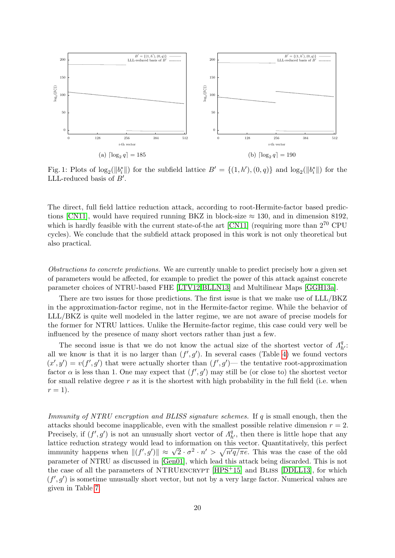

Fig. 1: Plots of  $\log_2(||b_i^*||)$  for the subfield lattice  $B' = \{(1, h'), (0, q)\}\$  and  $\log_2(||b_i^*||)$  for the LLL-reduced basis of  $B'$ .

The direct, full field lattice reduction attack, according to root-Hermite-factor based predic-tions [\[CN11\]](#page-22-13), would have required running BKZ in block-size  $\approx 130$ , and in dimension 8192, which is hardly feasible with the current state-of-the art [\[CN11\]](#page-22-13) (requiring more than  $2^{70}$  CPU cycles). We conclude that the subfield attack proposed in this work is not only theoretical but also practical.

Obstructions to concrete predictions. We are currently unable to predict precisely how a given set of parameters would be affected, for example to predict the power of this attack against concrete parameter choices of NTRU-based FHE [\[LTV12,](#page-23-3)[BLLN13\]](#page-21-0) and Multilinear Maps [\[GGH13a\]](#page-22-1).

There are two issues for those predictions. The first issue is that we make use of LLL/BKZ in the approximation-factor regime, not in the Hermite-factor regime. While the behavior of LLL/BKZ is quite well modeled in the latter regime, we are not aware of precise models for the former for NTRU lattices. Unlike the Hermite-factor regime, this case could very well be influenced by the presence of many short vectors rather than just a few.

The second issue is that we do not know the actual size of the shortest vector of  $\Lambda_{h'}^q$ . all we know is that it is no larger than  $(f', g')$ . In several cases (Table [4\)](#page-25-0) we found vectors  $(x', y') = v(f', g')$  that were actually shorter than  $(f', g')$ — the tentative root-approximation factor  $\alpha$  is less than 1. One may expect that  $(f', g')$  may still be (or close to) the shortest vector for small relative degree  $r$  as it is the shortest with high probability in the full field (i.e. when  $r=1$ ).

*Immunity of NTRU encryption and BLISS signature schemes.* If  $q$  is small enough, then the attacks should become inapplicable, even with the smallest possible relative dimension  $r = 2$ . Precisely, if  $(f', g')$  is not an unusually short vector of  $\Lambda_{h'}^q$ , then there is little hope that any lattice reduction strategy would lead to information on this vector. Quantitatively, this perfect immunity happens when  $\|(f',g')\| \approx \sqrt{2} \cdot \sigma^2 \cdot n' > \sqrt{n'q/\pi e}$ . This was the case of the old parameter of NTRU as discussed in [\[Gen01\]](#page-22-3), which lead this attack being discarded. This is not the case of all the parameters of NTRUencrypt [\[HPS](#page-23-6)+15] and Bliss [\[DDLL13\]](#page-22-0), for which  $(f', g')$  is sometime unusually short vector, but not by a very large factor. Numerical values are given in Table [7.](#page-20-0)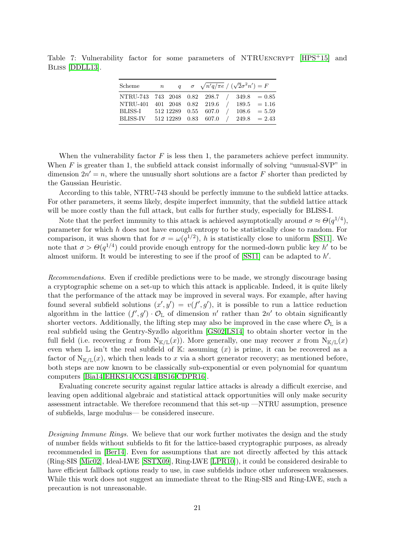<span id="page-20-0"></span>Table 7: Vulnerability factor for some parameters of NTRUENCRYPT [\[HPS](#page-23-6)<sup>+</sup>15] and Bliss [\[DDLL13\]](#page-22-0).

| Scheme                                       | $\mathbb n$ |  |               | q $\sigma \sqrt{n'q/\pi e}/(\sqrt{2}\sigma^2 n') = F$ |                |
|----------------------------------------------|-------------|--|---------------|-------------------------------------------------------|----------------|
| NTRU-743 743 2048 0.82 298.7 / 349.8 = 0.85  |             |  |               |                                                       |                |
| NTRU-401 401 2048 0.82 219.6                 |             |  | $\frac{1}{2}$ |                                                       | $189.5 = 1.16$ |
| BLISS-I 512 12289 0.55 607.0 / 108.6 = 5.59  |             |  |               |                                                       |                |
| BLISS-IV 512 12289 0.83 607.0 / 249.8 = 2.43 |             |  |               |                                                       |                |

When the vulnerability factor  $F$  is less then 1, the parameters achieve perfect immunity. When  $F$  is greater than 1, the subfield attack consist informally of solving "unusual-SVP" in dimension  $2n' = n$ , where the unusually short solutions are a factor F shorter than predicted by the Gaussian Heuristic.

According to this table, NTRU-743 should be perfectly immune to the subfield lattice attacks. For other parameters, it seems likely, despite imperfect immunity, that the subfield lattice attack will be more costly than the full attack, but calls for further study, especially for BLISS-I.

Note that the perfect immunity to this attack is achieved asymptotically around  $\sigma \approx \Theta(q^{1/4})$ , parameter for which h does not have enough entropy to be statistically close to random. For comparison, it was shown that for  $\sigma = \omega(q^{1/2})$ , h is statistically close to uniform [\[SS11\]](#page-24-6). We note that  $\sigma > \Theta(q^{1/4})$  could provide enough entropy for the normed-down public key h' to be almost uniform. It would be interesting to see if the proof of  $[SS11]$  can be adapted to  $h'$ .

Recommendations. Even if credible predictions were to be made, we strongly discourage basing a cryptographic scheme on a set-up to which this attack is applicable. Indeed, it is quite likely that the performance of the attack may be improved in several ways. For example, after having found several subfield solutions  $(x', y') = v(f', g')$ , it is possible to run a lattice reduction algorithm in the lattice  $(f', g') \cdot \mathcal{O}_{\mathbb{L}}$  of dimension n' rather than  $2n'$  to obtain significantly shorter vectors. Additionally, the lifting step may also be improved in the case where  $\mathcal{O}_{\mathbb{L}}$  is a real subfield using the Gentry-Syzdlo algorithm [\[GS02,](#page-23-10)[LS14\]](#page-23-13) to obtain shorter vector in the full field (i.e. recovering x from  $N_{K/L}(x)$ ). More generally, one may recover x from  $N_{K/L}(x)$ even when  $\mathbb L$  isn't the real subfield of  $\mathbb K$ : assuming  $(x)$  is prime, it can be recovered as a factor of  $N_{\mathbb{K}/\mathbb{L}}(x)$ , which then leads to x via a short generator recovery; as mentioned before, both steps are now known to be classically sub-exponential or even polynomial for quantum computers [\[Bia14,](#page-21-3)[EHKS14,](#page-22-19)[CGS14,](#page-22-8)[BS16](#page-22-20)[,CDPR16\]](#page-22-9).

Evaluating concrete security against regular lattice attacks is already a difficult exercise, and leaving open additional algebraic and statistical attack opportunities will only make security assessment intractable. We therefore recommend that this set-up —NTRU assumption, presence of subfields, large modulus— be considered insecure.

Designing Immune Rings. We believe that our work further motivates the design and the study of number fields without subfields to fit for the lattice-based cryptographic purposes, as already recommended in [\[Ber14\]](#page-21-2). Even for assumptions that are not directly affected by this attack (Ring-SIS [\[Mic02\]](#page-23-17), Ideal-LWE [\[SSTX09\]](#page-24-0), Ring-LWE [\[LPR10\]](#page-23-18)), it could be considered desirable to have efficient fallback options ready to use, in case subfields induce other unforeseen weaknesses. While this work does not suggest an immediate threat to the Ring-SIS and Ring-LWE, such a precaution is not unreasonable.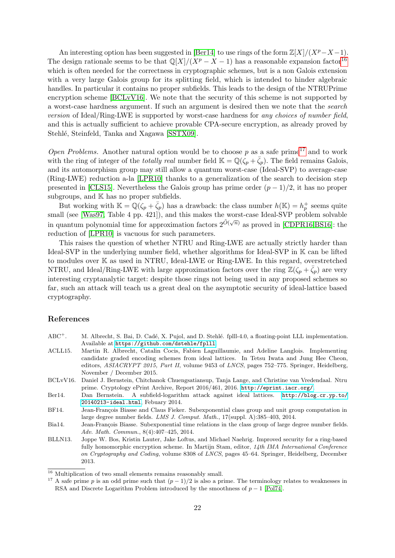An interesting option has been suggested in [\[Ber14\]](#page-21-2) to use rings of the form  $\mathbb{Z}[X]/(X^p-X-1)$ . The design rationale seems to be that  $\mathbb{Q}[X]/(X^p - X - 1)$  has a reasonable expansion factor<sup>[16](#page-21-6)</sup> which is often needed for the correctness in cryptographic schemes, but is a non Galois extension with a very large Galois group for its splitting field, which is intended to hinder algebraic handles. In particular it contains no proper subfields. This leads to the design of the NTRUPrime encryption scheme [\[BCLvV16\]](#page-21-7). We note that the security of this scheme is not supported by a worst-case hardness argument. If such an argument is desired then we note that the search version of Ideal/Ring-LWE is supported by worst-case hardness for any choices of number field, and this is actually sufficient to achieve provable CPA-secure encryption, as already proved by Stehlé, Steinfeld, Tanka and Xagawa [\[SSTX09\]](#page-24-0).

Open Problems. Another natural option would be to choose p as a safe prime<sup>[17](#page-21-8)</sup> and to work with the ring of integer of the *totally real* number field  $\mathbb{K} = \mathbb{Q}(\zeta_p + \bar{\zeta}_p)$ . The field remains Galois, and its automorphism group may still allow a quantum worst-case (Ideal-SVP) to average-case (Ring-LWE) reduction a-la [\[LPR10\]](#page-23-18) thanks to a generalization of the search to decision step presented in [\[CLS15\]](#page-22-6). Nevertheless the Galois group has prime order  $(p-1)/2$ , it has no proper subgroups, and  $K$  has no proper subfields.

But working with  $\mathbb{K} = \mathbb{Q}(\zeta_p + \bar{\zeta}_p)$  has a drawback: the class number  $h(\mathbb{K}) = h_p^+$  seems quite small (see [\[Was97,](#page-24-3) Table 4 pp. 421]), and this makes the worst-case Ideal-SVP problem solvable in quantum polynomial time for approximation factors  $2^{\tilde{O}(\sqrt{n})}$  as proved in [\[CDPR16](#page-22-9)[,BS16\]](#page-22-20): the reduction of [\[LPR10\]](#page-23-18) is vacuous for such parameters.

This raises the question of whether NTRU and Ring-LWE are actually strictly harder than Ideal-SVP in the underlying number field, whether algorithms for Ideal-SVP in K can be lifted to modules over K as used in NTRU, Ideal-LWE or Ring-LWE. In this regard, overstretched NTRU, and Ideal/Ring-LWE with large approximation factors over the ring  $\mathbb{Z}(\zeta_p + \bar{\zeta}_p)$  are very interesting cryptanalytic target: despite those rings not being used in any proposed schemes so far, such an attack will teach us a great deal on the asymptotic security of ideal-lattice based cryptography.

## References

- <span id="page-21-5"></span>ABC<sup>+</sup>. M. Albrecht, S. Bai, D. Cadé, X. Pujol, and D. Stehlé. fplll-4.0, a floating-point LLL implementation. Available at <https://github.com/dstehle/fplll>.
- <span id="page-21-1"></span>ACLL15. Martin R. Albrecht, Catalin Cocis, Fabien Laguillaumie, and Adeline Langlois. Implementing candidate graded encoding schemes from ideal lattices. In Tetsu Iwata and Jung Hee Cheon, editors, ASIACRYPT 2015, Part II, volume 9453 of LNCS, pages 752-775. Springer, Heidelberg, November / December 2015.
- <span id="page-21-7"></span>BCLvV16. Daniel J. Bernstein, Chitchanok Chuengsatiansup, Tanja Lange, and Christine van Vredendaal. Ntru prime. Cryptology ePrint Archive, Report 2016/461, 2016. <http://eprint.iacr.org/>.
- <span id="page-21-2"></span>Ber14. Dan Bernstein. A subfield-logarithm attack against ideal lattices. [http://blog.cr.yp.to/](http://blog.cr.yp.to/20140213-ideal.html) [20140213-ideal.html](http://blog.cr.yp.to/20140213-ideal.html), Febuary 2014.
- <span id="page-21-4"></span>BF14. Jean-François Biasse and Claus Fieker. Subexponential class group and unit group computation in large degree number fields. LMS J. Comput. Math., 17(suppl. A):385–403, 2014.
- <span id="page-21-3"></span>Bia14. Jean-François Biasse. Subexponential time relations in the class group of large degree number fields. Adv. Math. Commun., 8(4):407–425, 2014.
- <span id="page-21-0"></span>BLLN13. Joppe W. Bos, Kristin Lauter, Jake Loftus, and Michael Naehrig. Improved security for a ring-based fully homomorphic encryption scheme. In Martijn Stam, editor, 14th IMA International Conference on Cryptography and Coding, volume 8308 of LNCS, pages 45–64. Springer, Heidelberg, December 2013.

<span id="page-21-6"></span> $^{16}$  Multiplication of two small elements remains reasonably small.

<span id="page-21-8"></span><sup>&</sup>lt;sup>17</sup> A safe prime p is an odd prime such that  $(p-1)/2$  is also a prime. The terminology relates to weaknesses in RSA and Discrete Logarithm Problem introduced by the smoothness of  $p-1$  [\[Pol74\]](#page-24-7).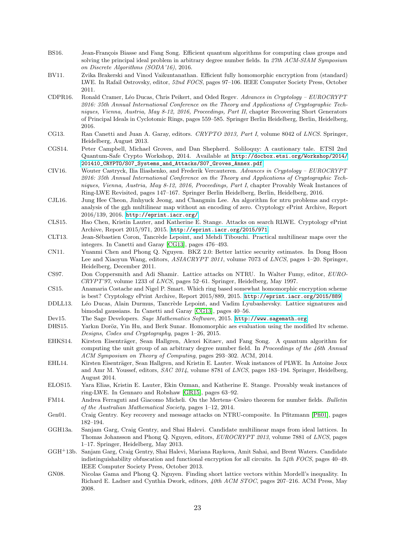- <span id="page-22-20"></span>BS16. Jean-François Biasse and Fang Song. Efficient quantum algorithms for computing class groups and solving the principal ideal problem in arbitrary degree number fields. In 27th ACM-SIAM Symposium on Discrete Algorithms (SODA'16), 2016.
- <span id="page-22-15"></span>BV11. Zvika Brakerski and Vinod Vaikuntanathan. Efficient fully homomorphic encryption from (standard) LWE. In Rafail Ostrovsky, editor, 52nd FOCS, pages 97–106. IEEE Computer Society Press, October 2011.
- <span id="page-22-9"></span>CDPR16. Ronald Cramer, L´eo Ducas, Chris Peikert, and Oded Regev. Advances in Cryptology – EUROCRYPT 2016: 35th Annual International Conference on the Theory and Applications of Cryptographic Techniques, Vienna, Austria, May 8-12, 2016, Proceedings, Part II, chapter Recovering Short Generators of Principal Ideals in Cyclotomic Rings, pages 559–585. Springer Berlin Heidelberg, Berlin, Heidelberg, 2016.
- <span id="page-22-22"></span>CG13. Ran Canetti and Juan A. Garay, editors. CRYPTO 2013, Part I, volume 8042 of LNCS. Springer, Heidelberg, August 2013.
- <span id="page-22-8"></span>CGS14. Peter Campbell, Michael Groves, and Dan Shepherd. Soliloquy: A cautionary tale. ETSI 2nd Quantum-Safe Crypto Workshop, 2014. Available at [http://docbox.etsi.org/Workshop/2014/](http://docbox.etsi.org/Workshop/2014/201410_CRYPTO/S07_Systems_and_Attacks/S07_Groves_Annex.pdf) [201410\\_CRYPTO/S07\\_Systems\\_and\\_Attacks/S07\\_Groves\\_Annex.pdf](http://docbox.etsi.org/Workshop/2014/201410_CRYPTO/S07_Systems_and_Attacks/S07_Groves_Annex.pdf).
- <span id="page-22-7"></span>CIV16. Wouter Castryck, Ilia Iliashenko, and Frederik Vercauteren. Advances in Cryptology – EUROCRYPT 2016: 35th Annual International Conference on the Theory and Applications of Cryptographic Techniques, Vienna, Austria, May 8-12, 2016, Proceedings, Part I, chapter Provably Weak Instances of Ring-LWE Revisited, pages 147–167. Springer Berlin Heidelberg, Berlin, Heidelberg, 2016.
- <span id="page-22-10"></span>CJL16. Jung Hee Cheon, Jinhyuck Jeong, and Changmin Lee. An algorithm for ntru problems and cryptanalysis of the ggh multilinear map without an encoding of zero. Cryptology ePrint Archive, Report 2016/139, 2016. <http://eprint.iacr.org/>.
- <span id="page-22-6"></span>CLS15. Hao Chen, Kristin Lauter, and Katherine E. Stange. Attacks on search RLWE. Cryptology ePrint Archive, Report 2015/971, 2015. <http://eprint.iacr.org/2015/971>.
- <span id="page-22-18"></span>CLT13. Jean-Sébastien Coron, Tancrède Lepoint, and Mehdi Tibouchi. Practical multilinear maps over the integers. In Canetti and Garay [\[CG13\]](#page-22-22), pages 476–493.
- <span id="page-22-13"></span>CN11. Yuanmi Chen and Phong Q. Nguyen. BKZ 2.0: Better lattice security estimates. In Dong Hoon Lee and Xiaoyun Wang, editors, ASIACRYPT 2011, volume 7073 of LNCS, pages 1–20. Springer, Heidelberg, December 2011.
- <span id="page-22-2"></span>CS97. Don Coppersmith and Adi Shamir. Lattice attacks on NTRU. In Walter Fumy, editor, EURO-CRYPT'97, volume 1233 of LNCS, pages 52–61. Springer, Heidelberg, May 1997.
- <span id="page-22-16"></span>CS15. Anamaria Costache and Nigel P. Smart. Which ring based somewhat homomorphic encryption scheme is best? Cryptology ePrint Archive, Report 2015/889, 2015. <http://eprint.iacr.org/2015/889>.
- <span id="page-22-0"></span>DDLL13. Léo Ducas, Alain Durmus, Tancrède Lepoint, and Vadim Lyubashevsky. Lattice signatures and bimodal gaussians. In Canetti and Garay [\[CG13\]](#page-22-22), pages 40–56.
- <span id="page-22-21"></span>Dev15. The Sage Developers. Sage Mathematics Software, 2015. <http://www.sagemath.org>.
- <span id="page-22-14"></span>DHS15. Yarkın Doröz, Yin Hu, and Berk Sunar. Homomorphic aes evaluation using the modified ltv scheme. Designs, Codes and Cryptography, pages 1–26, 2015.
- <span id="page-22-19"></span>EHKS14. Kirsten Eisenträger, Sean Hallgren, Alexei Kitaev, and Fang Song. A quantum algorithm for computing the unit group of an arbitrary degree number field. In Proceedings of the 46th Annual ACM Symposium on Theory of Computing, pages 293–302. ACM, 2014.
- <span id="page-22-5"></span>EHL14. Kirsten Eisenträger, Sean Hallgren, and Kristin E. Lauter. Weak instances of PLWE. In Antoine Joux and Amr M. Youssef, editors, SAC 2014, volume 8781 of LNCS, pages 183–194. Springer, Heidelberg, August 2014.
- <span id="page-22-4"></span>ELOS15. Yara Elias, Kristin E. Lauter, Ekin Ozman, and Katherine E. Stange. Provably weak instances of ring-LWE. In Gennaro and Robshaw [\[GR15\]](#page-23-22), pages 63–92.
- <span id="page-22-11"></span>FM14. Andrea Ferraguti and Giacomo Micheli. On the Mertens–Cesàro theorem for number fields. Bulletin of the Australian Mathematical Society, pages 1–12, 2014.
- <span id="page-22-3"></span>Gen01. Craig Gentry. Key recovery and message attacks on NTRU-composite. In Pfitzmann [\[Pfi01\]](#page-24-8), pages 182–194.
- <span id="page-22-1"></span>GGH13a. Sanjam Garg, Craig Gentry, and Shai Halevi. Candidate multilinear maps from ideal lattices. In Thomas Johansson and Phong Q. Nguyen, editors, EUROCRYPT 2013, volume 7881 of LNCS, pages 1–17. Springer, Heidelberg, May 2013.
- <span id="page-22-17"></span>GGH<sup>+</sup>13b. Sanjam Garg, Craig Gentry, Shai Halevi, Mariana Raykova, Amit Sahai, and Brent Waters. Candidate indistinguishability obfuscation and functional encryption for all circuits. In  $54th$  FOCS, pages 40–49. IEEE Computer Society Press, October 2013.
- <span id="page-22-12"></span>GN08. Nicolas Gama and Phong Q. Nguyen. Finding short lattice vectors within Mordell's inequality. In Richard E. Ladner and Cynthia Dwork, editors, 40th ACM STOC, pages 207–216. ACM Press, May 2008.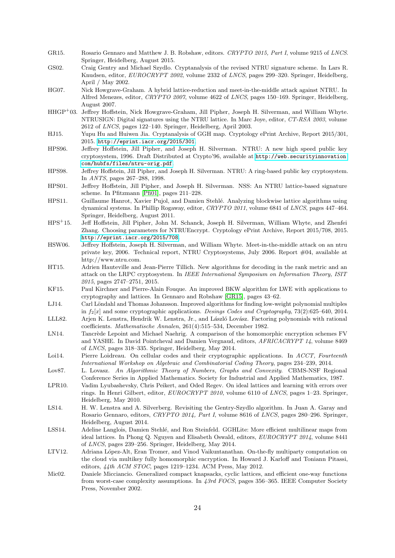- <span id="page-23-22"></span>GR15. Rosario Gennaro and Matthew J. B. Robshaw, editors. CRYPTO 2015, Part I, volume 9215 of LNCS. Springer, Heidelberg, August 2015.
- <span id="page-23-10"></span>GS02. Craig Gentry and Michael Szydlo. Cryptanalysis of the revised NTRU signature scheme. In Lars R. Knudsen, editor, EUROCRYPT 2002, volume 2332 of LNCS, pages 299–320. Springer, Heidelberg, April / May 2002.
- <span id="page-23-8"></span>HG07. Nick Howgrave-Graham. A hybrid lattice-reduction and meet-in-the-middle attack against NTRU. In Alfred Menezes, editor, CRYPTO 2007, volume 4622 of LNCS, pages 150–169. Springer, Heidelberg, August 2007.
- <span id="page-23-2"></span>HHGP<sup>+</sup>03. Jeffrey Hoffstein, Nick Howgrave-Graham, Jill Pipher, Joseph H. Silverman, and William Whyte. NTRUSIGN: Digital signatures using the NTRU lattice. In Marc Joye, editor, CT-RSA 2003, volume 2612 of LNCS, pages 122–140. Springer, Heidelberg, April 2003.
- <span id="page-23-11"></span>HJ15. Yupu Hu and Huiwen Jia. Cryptanalysis of GGH map. Cryptology ePrint Archive, Report 2015/301, 2015. <http://eprint.iacr.org/2015/301>.
- <span id="page-23-0"></span>HPS96. Jeffrey Hoffstein, Jill Pipher, and Joseph H. Silverman. NTRU: A new high speed public key cryptosystem, 1996. Draft Distributed at Crypto'96, available at [http://web.securityinnovation.](http://web.securityinnovation.com/hubfs/files/ntru-orig.pdf) [com/hubfs/files/ntru-orig.pdf](http://web.securityinnovation.com/hubfs/files/ntru-orig.pdf).

<span id="page-23-1"></span>HPS98. Jeffrey Hoffstein, Jill Pipher, and Joseph H. Silverman. NTRU: A ring-based public key cryptosystem. In ANTS, pages 267–288, 1998.

- <span id="page-23-12"></span>HPS01. Jeffrey Hoffstein, Jill Pipher, and Joseph H. Silverman. NSS: An NTRU lattice-based signature scheme. In Pfitzmann [\[Pfi01\]](#page-24-8), pages 211–228.
- <span id="page-23-19"></span>HPS11. Guillaume Hanrot, Xavier Pujol, and Damien Stehlé. Analyzing blockwise lattice algorithms using dynamical systems. In Phillip Rogaway, editor, CRYPTO 2011, volume 6841 of LNCS, pages 447–464. Springer, Heidelberg, August 2011.
- <span id="page-23-6"></span>HPS<sup>+</sup>15. Jeff Hoffstein, Jill Pipher, John M. Schanck, Joseph H. Silverman, William Whyte, and Zhenfei Zhang. Choosing parameters for NTRUEncrypt. Cryptology ePrint Archive, Report 2015/708, 2015. <http://eprint.iacr.org/2015/708>.
- <span id="page-23-7"></span>HSW06. Jeffrey Hoffstein, Joseph H. Silverman, and William Whyte. Meet-in-the-middle attack on an ntru private key, 2006. Technical report, NTRU Cryptosystems, July 2006. Report #04, available at http://www.ntru.com.
- <span id="page-23-16"></span>HT15. Adrien Hauteville and Jean-Pierre Tillich. New algorithms for decoding in the rank metric and an attack on the LRPC cryptosystem. In IEEE International Symposium on Information Theory, ISIT 2015, pages 2747–2751, 2015.
- <span id="page-23-9"></span>KF15. Paul Kirchner and Pierre-Alain Fouque. An improved BKW algorithm for LWE with applications to cryptography and lattices. In Gennaro and Robshaw [\[GR15\]](#page-23-22), pages 43–62.
- <span id="page-23-15"></span>LJ14. Carl Löndahl and Thomas Johansson. Improved algorithms for finding low-weight polynomial multiples in  $f_2[x]$  and some cryptographic applications. Desings Codes and Cryptography, 73(2):625–640, 2014.
- <span id="page-23-5"></span>LLL82. Arjen K. Lenstra, Hendrik W. Lenstra, Jr., and László Lovász. Factoring polynomials with rational coefficients. Mathematische Annalen, 261(4):515–534, December 1982.
- <span id="page-23-21"></span>LN14. Tancrède Lepoint and Michael Naehrig. A comparison of the homomorphic encryption schemes FV and YASHE. In David Pointcheval and Damien Vergnaud, editors, AFRICACRYPT 14, volume 8469 of LNCS, pages 318–335. Springer, Heidelberg, May 2014.
- <span id="page-23-14"></span>Loi14. Pierre Loidreau. On cellular codes and their cryptographic applications. In ACCT, Fourteenth International Workshop on Algebraic and Combinatorial Coding Theory, pages 234–239, 2014.
- <span id="page-23-20"></span>Lov87. L. Lovasz. An Algorithmic Theory of Numbers, Graphs and Convexity. CBMS-NSF Regional Conference Series in Applied Mathematics. Society for Industrial and Applied Mathematics, 1987.
- <span id="page-23-18"></span>LPR10. Vadim Lyubashevsky, Chris Peikert, and Oded Regev. On ideal lattices and learning with errors over rings. In Henri Gilbert, editor, EUROCRYPT 2010, volume 6110 of LNCS, pages 1–23. Springer, Heidelberg, May 2010.
- <span id="page-23-13"></span>LS14. H. W. Lenstra and A. Silverberg. Revisiting the Gentry-Szydlo algorithm. In Juan A. Garay and Rosario Gennaro, editors, CRYPTO 2014, Part I, volume 8616 of LNCS, pages 280–296. Springer, Heidelberg, August 2014.
- <span id="page-23-4"></span>LSS14. Adeline Langlois, Damien Stehlé, and Ron Steinfeld. GGHLite: More efficient multilinear maps from ideal lattices. In Phong Q. Nguyen and Elisabeth Oswald, editors, EUROCRYPT 2014, volume 8441 of LNCS, pages 239–256. Springer, Heidelberg, May 2014.
- <span id="page-23-3"></span>LTV12. Adriana López-Alt, Eran Tromer, and Vinod Vaikuntanathan. On-the-fly multiparty computation on the cloud via multikey fully homomorphic encryption. In Howard J. Karloff and Toniann Pitassi, editors, 44th ACM STOC, pages 1219–1234. ACM Press, May 2012.
- <span id="page-23-17"></span>Mic02. Daniele Micciancio. Generalized compact knapsacks, cyclic lattices, and efficient one-way functions from worst-case complexity assumptions. In 43rd FOCS, pages 356–365. IEEE Computer Society Press, November 2002.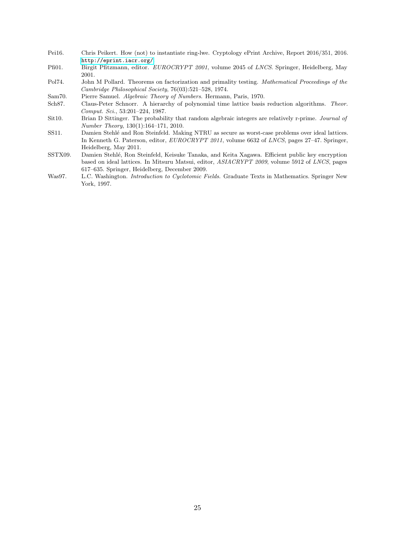- <span id="page-24-1"></span>Pei16. Chris Peikert. How (not) to instantiate ring-lwe. Cryptology ePrint Archive, Report 2016/351, 2016. <http://eprint.iacr.org/>.
- <span id="page-24-8"></span>Pfi01. Birgit Pfitzmann, editor. EUROCRYPT 2001, volume 2045 of LNCS. Springer, Heidelberg, May 2001.
- <span id="page-24-7"></span>Pol74. John M Pollard. Theorems on factorization and primality testing. Mathematical Proceedings of the Cambridge Philosophical Society, 76(03):521–528, 1974.
- <span id="page-24-2"></span>Sam70. Pierre Samuel. Algebraic Theory of Numbers. Hermann, Paris, 1970.
- <span id="page-24-5"></span>Sch87. Claus-Peter Schnorr. A hierarchy of polynomial time lattice basis reduction algorithms. Theor. Comput. Sci., 53:201–224, 1987.
- <span id="page-24-4"></span>Sit10. Brian D Sittinger. The probability that random algebraic integers are relatively r-prime. Journal of Number Theory, 130(1):164–171, 2010.
- <span id="page-24-6"></span>SS11. Damien Stehlé and Ron Steinfeld. Making NTRU as secure as worst-case problems over ideal lattices. In Kenneth G. Paterson, editor, EUROCRYPT 2011, volume 6632 of LNCS, pages 27–47. Springer, Heidelberg, May 2011.
- <span id="page-24-0"></span>SSTX09. Damien Stehl´e, Ron Steinfeld, Keisuke Tanaka, and Keita Xagawa. Efficient public key encryption based on ideal lattices. In Mitsuru Matsui, editor, ASIACRYPT 2009, volume 5912 of LNCS, pages 617–635. Springer, Heidelberg, December 2009.
- <span id="page-24-3"></span>Was97. L.C. Washington. *Introduction to Cyclotomic Fields*. Graduate Texts in Mathematics. Springer New York, 1997.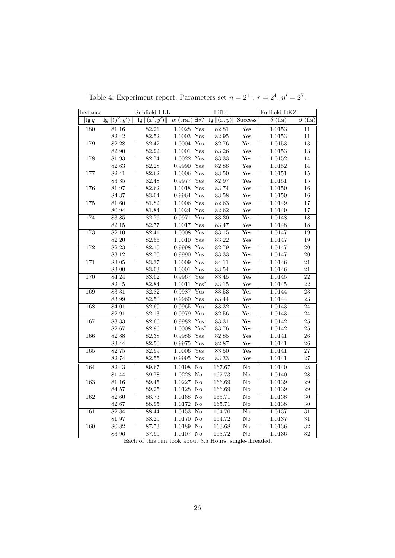<span id="page-25-0"></span>

| Instance                |                    | Subfield LLL               |                           |                        | Lifted           |                           | Fullfield BKZ  |                 |
|-------------------------|--------------------|----------------------------|---------------------------|------------------------|------------------|---------------------------|----------------|-----------------|
| $\lfloor \lg q \rfloor$ | $\lg   (f', g')  $ | $\frac{1}{g}   (x', y')  $ | $\alpha$ (traf)           | $\exists v$ ?          | $\lg   (x, y)  $ | <b>Success</b>            | $\delta$ (ffa) | $\beta$ (ffa)   |
| 180                     | 81.16              | 82.21                      | 1.0028                    | Yes                    | 82.81            | Yes                       | 1.0153         | 11              |
|                         | 82.42              | $82.52\,$                  | $1.0003$ $\,\mathrm{Yes}$ |                        | 82.95            | Yes                       | 1.0153         | $11\,$          |
| 179                     | 82.28              | 82.42                      | 1.0004                    | Yes                    | 82.76            | Yes                       | 1.0153         | $\overline{13}$ |
|                         | 82.90              | $82.92\,$                  | 1.0001                    | Yes                    | $83.26\,$        | Yes                       | $1.0153\,$     | $13\,$          |
| 178                     | 81.93              | 82.74                      | 1.0022                    | Yes                    | 83.33            | Yes                       | 1.0152         | 14              |
|                         | 82.63              | 82.28                      | $0.9990$ Yes              |                        | 82.88            | Yes                       | $1.0152\,$     | $14\,$          |
| 177                     | 82.41              | 82.62                      | 1.0006                    | Yes                    | 83.50            | Yes                       | 1.0151         | $\overline{15}$ |
|                         | $83.35\,$          | $82.48\,$                  | $0.9977$ $\,\mathrm{Yes}$ |                        | $82.97\,$        | $\operatorname{Yes}$      | $1.0151\,$     | $15\,$          |
| 176                     | 81.97              | 82.62                      | 1.0018                    | Yes                    | 83.74            | Yes                       | 1.0150         | $16\,$          |
|                         | 84.37              | 83.04                      | $0.9964$ $\,\mathrm{Yes}$ |                        | $83.58\,$        | Yes                       | 1.0150         | 16              |
| 175                     | 81.60              | 81.82                      | 1.0006                    | Yes                    | 82.63            | $\overline{\mathrm{Yes}}$ | 1.0149         | $\overline{17}$ |
|                         | 80.94              | $81.84\,$                  | $1.0024\;\; \mathrm{Yes}$ |                        | $82.62\,$        | Yes                       | $1.0149\,$     | $17\,$          |
| 174                     | 83.85              | 82.76                      | 0.9971                    | Yes                    | 83.30            | Yes                       | 1.0148         | 18              |
|                         | 82.15              | 82.77                      | $1.0017$ $\,\mathrm{Yes}$ |                        | 83.47            | Yes                       | $1.0148\,$     | $18\,$          |
| 173                     | 82.10              | 82.41                      | 1.0008                    | Yes                    | 83.15            | $\overline{\mathrm{Yes}}$ | 1.0147         | 19              |
|                         | 82.20              | $82.56\,$                  | $1.0010\,$                | Yes                    | $83.22\,$        | Yes                       | 1.0147         | 19              |
| 172                     | 82.23              | 82.15                      | 0.9998                    | Yes                    | 82.79            | Yes                       | 1.0147         | $\overline{20}$ |
|                         | 83.12              | 82.75                      | $0.9990$ Yes              |                        | $83.33\,$        | Yes                       | 1.0147         | $20\,$          |
| 171                     | 83.05              | 83.37                      | 1.0009                    | Yes                    | 84.11            | Yes                       | 1.0146         | $\overline{21}$ |
|                         | 83.00              | $83.03\,$                  | 1.0001                    | Yes                    | $83.54\,$        | Yes                       | $1.0146\,$     | $21\,$          |
| 170                     | 84.24              | 83.02                      | 0.9967                    | Yes                    | 83.45            | Yes                       | 1.0145         | $\overline{22}$ |
|                         | $82.45\,$          | $82.84\,$                  | 1.0011                    | $Yes*$                 | $83.15\,$        | Yes                       | 1.0145         | $22\,$          |
| 169                     | 83.31              | 82.82                      | 0.9987                    | Yes                    | 83.53            | $\overline{\mathrm{Yes}}$ | 1.0144         | $\overline{23}$ |
|                         | 83.99              | $82.50\,$                  | $0.9960$ Yes              |                        | $83.44\,$        | Yes                       | 1.0144         | $23\,$          |
| 168                     | 84.01              | 82.69                      | 0.9965                    | Yes                    | 83.32            | Yes                       | 1.0143         | $\overline{24}$ |
|                         | 82.91              | $82.13\,$                  | $0.9979$ Yes              |                        | $82.56\,$        | $\operatorname{Yes}$      | 1.0143         | $\sqrt{24}$     |
| 167                     | 83.33              | 82.66                      | 0.9982                    | Yes                    | 83.31            | Yes                       | 1.0142         | $\overline{25}$ |
|                         | 82.67              | $82.96\,$                  | $1.0008\,$                | $Yes^*$                | 83.76            | Yes                       | $1.0142\,$     | $25\,$          |
| 166                     | 82.88              | 82.38                      | 0.9986                    | Yes                    | 82.85            | Yes                       | 1.0141         | $\overline{26}$ |
|                         | $83.44\,$          | $82.50\,$                  | $\,0.9975\,$              | Yes                    | 82.87            | Yes                       | 1.0141         | ${\bf 26}$      |
| 165                     | 82.75              | 82.99                      | 1.0006                    | Yes                    | 83.50            | Yes                       | 1.0141         | $\overline{27}$ |
|                         | 82.74              | $82.55\,$                  | $\,0.9995\,$              | Yes                    | $83.33\,$        | Yes                       | 1.0141         | 27              |
| 164                     | 82.43              | 89.67                      | 1.0198                    | $\overline{\text{No}}$ | 167.67           | $\overline{\text{No}}$    | 1.0140         | $\overline{28}$ |
|                         | $81.44\,$          | 89.78                      | 1.0228 No                 |                        | 167.73           | $\rm No$                  | 1.0140         | 28              |
| 163                     | 81.16              | 89.45                      | 1.0227 No                 |                        | 166.69           | $\overline{\text{No}}$    | 1.0139         | $\overline{29}$ |
|                         | 84.57              | $89.25\,$                  | $1.0128$ No               |                        | 166.69           | $\rm No$                  | $1.0139\,$     | 29              |
| 162                     | 82.60              | 88.73                      | $1.0168$ No               |                        | 165.71           | $\overline{\text{No}}$    | 1.0138         | $\overline{30}$ |
|                         | 82.67              | 88.95                      | 1.0172 No                 |                        | 165.71           | $\rm No$                  | 1.0138         | $30\,$          |
| 161                     | 82.84              | 88.44                      | 1.0153                    | $\overline{\text{No}}$ | 164.70           | $\overline{\text{No}}$    | 1.0137         | $\overline{31}$ |
|                         | $81.97\,$          | $88.20\,$                  | 1.0170 No                 |                        | 164.72           | $\rm No$                  | 1.0137         | $31\,$          |
| 160                     | 80.82              | 87.73                      | 1.0189                    | No                     | 163.68           | $\overline{\text{No}}$    | 1.0136         | 32              |
|                         | $83.96\,$          | 87.90                      | 1.0107 No                 |                        | 163.72           | $\rm No$                  | 1.0136         | 32              |

Table 4: Experiment report. Parameters set  $n = 2^{11}$ ,  $r = 2^4$ ,  $n' = 2^7$ .

Each of this run took about 3.5 Hours, single-threaded.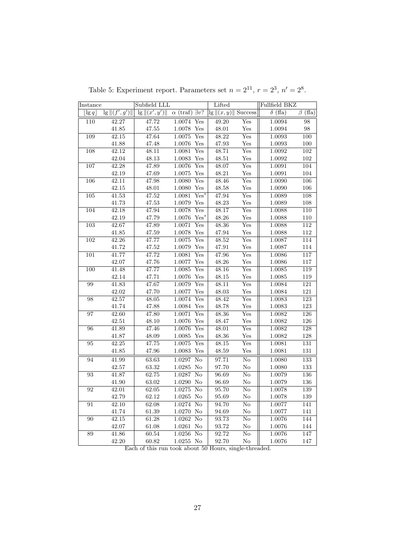<span id="page-26-0"></span>

| Instance                |                    | Subfield LLL       |                               |                           | Lifted              |                           | Fullfield BKZ  |                  |
|-------------------------|--------------------|--------------------|-------------------------------|---------------------------|---------------------|---------------------------|----------------|------------------|
| $\lfloor \lg q \rfloor$ | $\lg   (f', g')  $ | $\lg   (x', y')  $ | $\alpha$ (traf) $\exists v$ ? |                           | $\lg   (x, y)  $    | Success                   | $\delta$ (ffa) | $\beta$ (ffa)    |
| 110                     | 42.27              | 47.72              | 1.0074                        | Yes                       | 49.20               | Yes                       | 1.0094         | $98\,$           |
|                         | 41.85              | 47.55              | 1.0078 Yes                    |                           | 48.01               | Yes                       | 1.0094         | 98               |
| 109                     | 42.15              | 47.64              | 1.0075                        | Yes                       | $\overline{48.22}$  | $\overline{\mathrm{Yes}}$ | 1.0093         | $\overline{100}$ |
|                         | 41.88              | 47.48              | $1.0076$ Yes                  |                           | $\rm 47.93$         | Yes                       | $1.0093\,$     | 100              |
| 108                     | 42.12              | 48.11              | 1.0081                        | Yes                       | 48.71               | Yes                       | 1.0092         | $\overline{102}$ |
|                         | 42.04              | 48.13              | 1.0083                        | Yes                       | 48.51               | Yes                       | 1.0092         | 102              |
| 107                     | 42.28              | 47.89              | 1.0076                        | Yes                       | 48.07               | $\overline{\mathrm{Yes}}$ | 1.0091         | 104              |
|                         | 42.19              | 47.69              | 1.0075                        | Yes                       | 48.21               | Yes                       | 1.0091         | 104              |
| 106                     | 42.11              | 47.98              | 1.0080                        | Yes                       | 48.46               | Yes                       | 1.0090         | 106              |
|                         | 42.15              | 48.01              | $1.0080$ Yes                  |                           | 48.58               | Yes                       | 1.0090         | 106              |
| 105                     | 41.53              | 47.52              | 1.0081                        | $Yes^*$                   | 47.94               | Yes                       | 1.0089         | 108              |
|                         | 41.73              | 47.53              | $1.0079$ Yes                  |                           | 48.23               | Yes                       | 1.0089         | 108              |
| 104                     | 42.18              | 47.94              | 1.0078                        | Yes                       | 48.17               | Yes                       | 1.0088         | $\overline{110}$ |
|                         | 42.19              | 47.79              | $1.0076\,$                    | $Yes*$                    | 48.26               | Yes                       | 1.0088         | 110              |
| 103                     | 42.67              | 47.89              | 1.0071                        | $_{\rm Yes}$              | 48.36               | Yes                       | 1.0088         | 112              |
|                         | 41.85              | 47.59              | 1.0078                        | Yes                       | 47.94               | Yes                       | 1.0088         | 112              |
| $\overline{102}$        | 42.26              | 47.77              | 1.0075                        | Yes                       | 48.52               | Yes                       | 1.0087         | 114              |
|                         | 41.72              | $\rm 47.52$        | $1.0079\,$                    | Yes                       | 47.91               | $\operatorname{Yes}$      | 1.0087         | 114              |
| 101                     | 41.77              | 47.72              | 1.0081                        | Yes                       | 47.96               | Yes                       | 1.0086         | 117              |
|                         | 42.07              | 47.76              | 1.0077                        | Yes                       | 48.26               | Yes                       | 1.0086         | 117              |
| 100                     | 41.48              | 47.77              | 1.0085                        | $\overline{\mathrm{Yes}}$ | 48.16               | Yes                       | 1.0085         | 119              |
|                         | 42.14              | 47.71              | $1.0076$ Yes                  |                           | 48.15               | Yes                       | 1.0085         | 119              |
| 99                      | 41.83              | 47.67              | 1.0079                        | Yes                       | 48.11               | Yes                       | 1.0084         | 121              |
|                         | 42.02              | 47.70              | 1.0077 Yes                    |                           | 48.03               | Yes                       | 1.0084         | 121              |
| $\overline{98}$         | 42.57              | 48.05              | 1.0074                        | Yes                       | 48.42               | $\overline{\mathrm{Yes}}$ | 1.0083         | $\overline{123}$ |
|                         | 41.74              | 47.88              | 1.0084                        | Yes                       | 48.78               | Yes                       | $1.0083\,$     | 123              |
| 97                      | 42.60              | 47.80              | 1.0071                        | Yes                       | 48.36               | Yes                       | 1.0082         | 126              |
|                         | 42.51              | 48.10              | 1.0076                        | Yes                       | 48.47               | Yes                       | 1.0082         | 126              |
| 96                      | 41.89              | 47.46              | 1.0076                        | Yes                       | 48.01               | $\overline{\mathrm{Yes}}$ | 1.0082         | 128              |
|                         | 41.87              | 48.09              | 1.0085                        | Yes                       | 48.36               | Yes                       | 1.0082         | 128              |
| 95                      | 42.25              | 47.75              | 1.0075                        | Yes                       | 48.15               | Yes                       | 1.0081         | 131              |
|                         | 41.85              | 47.96              | $1.0083\,$                    | Yes                       | $\hphantom{0}48.59$ | Yes                       | 1.0081         | 131              |
| 94                      | 41.99              | 63.63              | 1.0297                        | $\overline{\text{No}}$    | 97.71               | $\overline{\text{No}}$    | 1.0080         | 133              |
|                         | 42.57              | 63.32              | $1.0285\,$                    | No                        | 97.70               | $\rm No$                  | 1.0080         | 133              |
| $\overline{93}$         | 41.87              | 62.75              | 1.0287                        | $\overline{\text{No}}$    | 96.69               | $\rm No$                  | 1.0079         | $\overline{136}$ |
|                         | 41.90              | 63.02              | 1.0290 No                     |                           | 96.69               | No                        | 1.0079         | 136              |
| 92                      | 42.01              | 62.05              | 1.0275                        | $\overline{No}$           | 95.70               | $\overline{\text{No}}$    | 1.0078         | 139              |
|                         | 42.79              | 62.12              | $1.0265$ No                   |                           | 95.69               | $\rm No$                  | $1.0078\,$     | 139              |
| 91                      | 42.10              | 62.08              | 1.0274                        | $\overline{\text{No}}$    | 94.70               | $\overline{\text{No}}$    | 1.0077         | 141              |
|                         | 41.74              | 61.39              | 1.0270 No                     |                           | 94.69               | $\rm No$                  | 1.0077         | 141              |
| 90                      | 42.15              | 61.28              | $1.0262$ No                   |                           | 93.73               | $\overline{\text{No}}$    | 1.0076         | 144              |
|                         | 42.07              | 61.08              | $1.0261\,$                    | N <sub>o</sub>            | 93.72               | $\rm No$                  | 1.0076         | 144              |
| 89                      | 41.86              | 60.54              | $1.0256$ No                   |                           | 92.72               | $\overline{\text{No}}$    | 1.0076         | 147              |
|                         | 42.20              | 60.82              | 1.0255 No                     |                           | 92.70               | $\rm No$                  | 1.0076         | 147              |

Table 5: Experiment report. Parameters set  $n = 2^{11}$ ,  $r = 2^3$ ,  $n' = 2^8$ .

Each of this run took about 50 Hours, single-threaded.